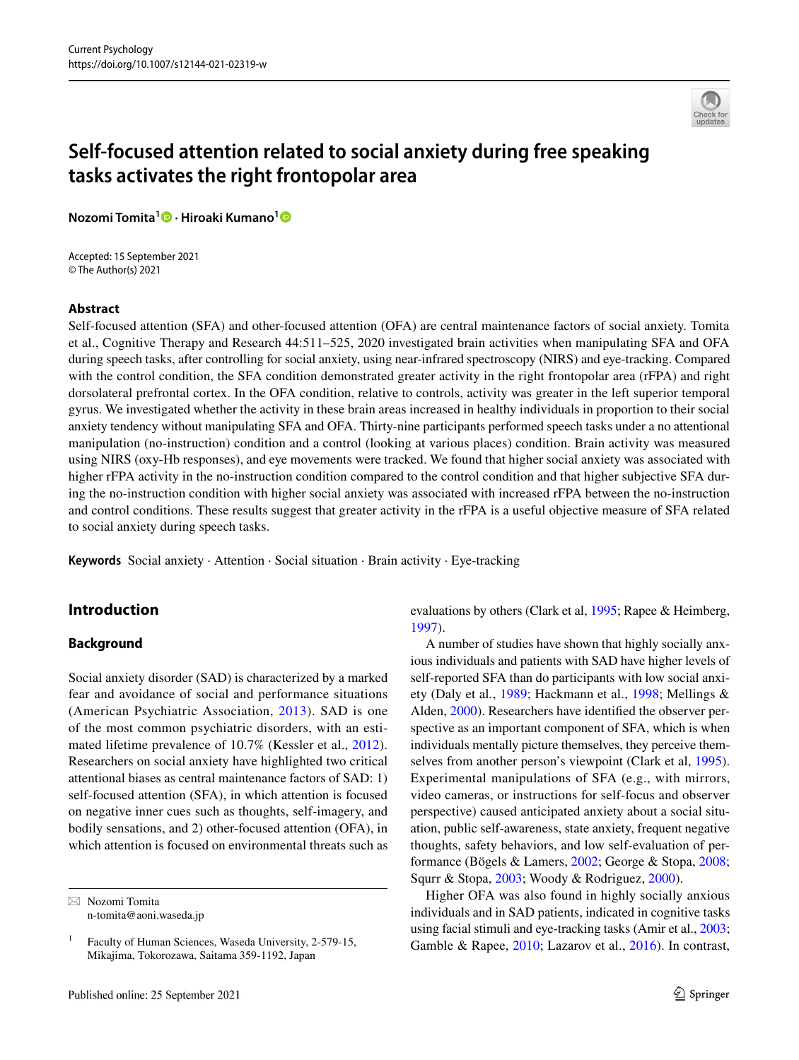

# **Self‑focused attention related to social anxiety during free speaking tasks activates the right frontopolar area**

**Nozomi Tomita[1](http://orcid.org/0000-0002-0060-0458) · Hiroaki Kumano[1](http://orcid.org/0000-0001-6245-5535)**

Accepted: 15 September 2021 © The Author(s) 2021

#### **Abstract**

Self-focused attention (SFA) and other-focused attention (OFA) are central maintenance factors of social anxiety. Tomita et al., Cognitive Therapy and Research 44:511–525, 2020 investigated brain activities when manipulating SFA and OFA during speech tasks, after controlling for social anxiety, using near-infrared spectroscopy (NIRS) and eye-tracking. Compared with the control condition, the SFA condition demonstrated greater activity in the right frontopolar area (rFPA) and right dorsolateral prefrontal cortex. In the OFA condition, relative to controls, activity was greater in the left superior temporal gyrus. We investigated whether the activity in these brain areas increased in healthy individuals in proportion to their social anxiety tendency without manipulating SFA and OFA. Thirty-nine participants performed speech tasks under a no attentional manipulation (no-instruction) condition and a control (looking at various places) condition. Brain activity was measured using NIRS (oxy-Hb responses), and eye movements were tracked. We found that higher social anxiety was associated with higher rFPA activity in the no-instruction condition compared to the control condition and that higher subjective SFA during the no-instruction condition with higher social anxiety was associated with increased rFPA between the no-instruction and control conditions. These results suggest that greater activity in the rFPA is a useful objective measure of SFA related to social anxiety during speech tasks.

**Keywords** Social anxiety · Attention · Social situation · Brain activity · Eye-tracking

# **Introduction**

### **Background**

Social anxiety disorder (SAD) is characterized by a marked fear and avoidance of social and performance situations (American Psychiatric Association, [2013\)](#page-11-0). SAD is one of the most common psychiatric disorders, with an estimated lifetime prevalence of 10.7% (Kessler et al., [2012](#page-12-0)). Researchers on social anxiety have highlighted two critical attentional biases as central maintenance factors of SAD: 1) self-focused attention (SFA), in which attention is focused on negative inner cues such as thoughts, self-imagery, and bodily sensations, and 2) other-focused attention (OFA), in which attention is focused on environmental threats such as evaluations by others (Clark et al, [1995](#page-11-1); Rapee & Heimberg, [1997](#page-12-1)).

A number of studies have shown that highly socially anxious individuals and patients with SAD have higher levels of self-reported SFA than do participants with low social anxiety (Daly et al., [1989](#page-11-2); Hackmann et al., [1998;](#page-11-3) Mellings & Alden, [2000\)](#page-12-2). Researchers have identifed the observer perspective as an important component of SFA, which is when individuals mentally picture themselves, they perceive themselves from another person's viewpoint (Clark et al, [1995](#page-11-1)). Experimental manipulations of SFA (e.g., with mirrors, video cameras, or instructions for self-focus and observer perspective) caused anticipated anxiety about a social situation, public self-awareness, state anxiety, frequent negative thoughts, safety behaviors, and low self-evaluation of performance (Bögels & Lamers, [2002](#page-11-4); George & Stopa, [2008](#page-11-5); Squrr & Stopa, [2003](#page-12-3); Woody & Rodriguez, [2000\)](#page-12-4).

Higher OFA was also found in highly socially anxious individuals and in SAD patients, indicated in cognitive tasks using facial stimuli and eye-tracking tasks (Amir et al., [2003](#page-11-6); Gamble & Rapee, [2010;](#page-11-7) Lazarov et al., [2016\)](#page-12-5). In contrast,

 $\boxtimes$  Nozomi Tomita n-tomita@aoni.waseda.jp

<sup>&</sup>lt;sup>1</sup> Faculty of Human Sciences, Waseda University, 2-579-15, Mikajima, Tokorozawa, Saitama 359-1192, Japan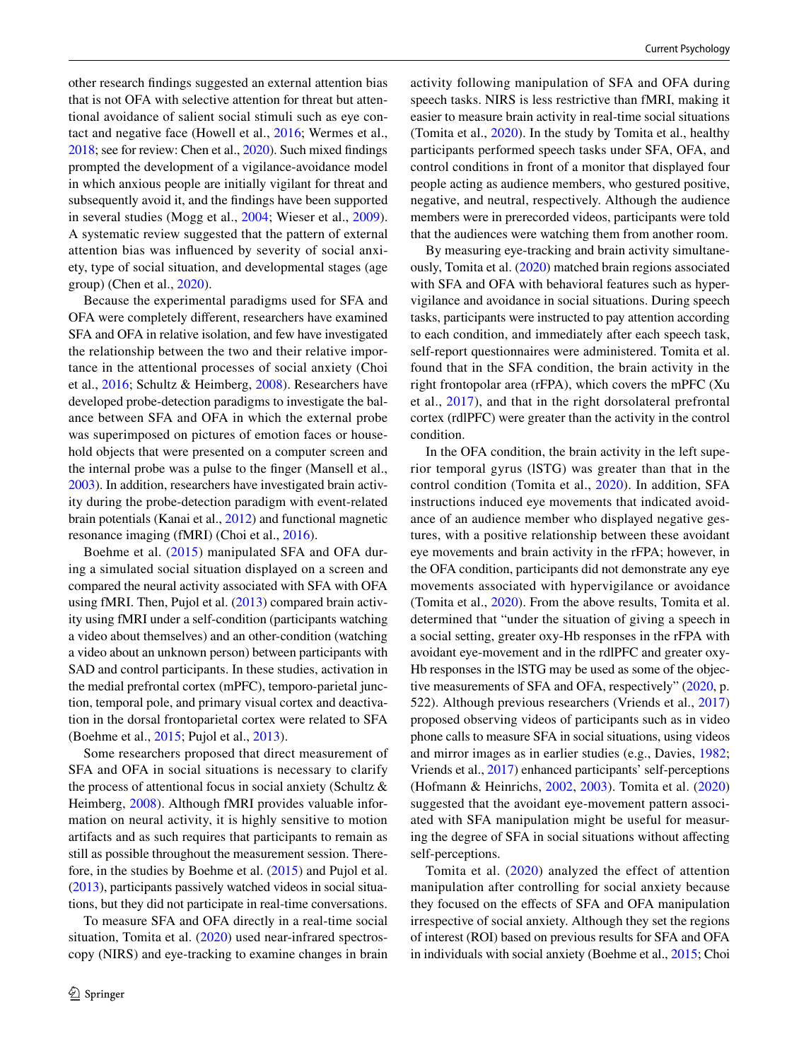other research fndings suggested an external attention bias that is not OFA with selective attention for threat but attentional avoidance of salient social stimuli such as eye contact and negative face (Howell et al., [2016;](#page-12-6) Wermes et al., [2018;](#page-12-7) see for review: Chen et al., [2020\)](#page-11-8). Such mixed fndings prompted the development of a vigilance-avoidance model in which anxious people are initially vigilant for threat and subsequently avoid it, and the fndings have been supported in several studies (Mogg et al., [2004](#page-12-8); Wieser et al., [2009](#page-12-9)). A systematic review suggested that the pattern of external attention bias was infuenced by severity of social anxiety, type of social situation, and developmental stages (age group) (Chen et al., [2020](#page-11-8)).

Because the experimental paradigms used for SFA and OFA were completely diferent, researchers have examined SFA and OFA in relative isolation, and few have investigated the relationship between the two and their relative importance in the attentional processes of social anxiety (Choi et al., [2016](#page-11-9); Schultz & Heimberg, [2008\)](#page-12-10). Researchers have developed probe-detection paradigms to investigate the balance between SFA and OFA in which the external probe was superimposed on pictures of emotion faces or household objects that were presented on a computer screen and the internal probe was a pulse to the fnger (Mansell et al., [2003\)](#page-12-11). In addition, researchers have investigated brain activity during the probe-detection paradigm with event-related brain potentials (Kanai et al., [2012\)](#page-12-12) and functional magnetic resonance imaging (fMRI) (Choi et al., [2016](#page-11-9)).

Boehme et al. [\(2015](#page-11-10)) manipulated SFA and OFA during a simulated social situation displayed on a screen and compared the neural activity associated with SFA with OFA using fMRI. Then, Pujol et al. ([2013](#page-12-13)) compared brain activity using fMRI under a self-condition (participants watching a video about themselves) and an other-condition (watching a video about an unknown person) between participants with SAD and control participants. In these studies, activation in the medial prefrontal cortex (mPFC), temporo-parietal junction, temporal pole, and primary visual cortex and deactivation in the dorsal frontoparietal cortex were related to SFA (Boehme et al., [2015](#page-11-10); Pujol et al., [2013\)](#page-12-13).

Some researchers proposed that direct measurement of SFA and OFA in social situations is necessary to clarify the process of attentional focus in social anxiety (Schultz & Heimberg, [2008\)](#page-12-10). Although fMRI provides valuable information on neural activity, it is highly sensitive to motion artifacts and as such requires that participants to remain as still as possible throughout the measurement session. Therefore, in the studies by Boehme et al. [\(2015\)](#page-11-10) and Pujol et al. [\(2013](#page-12-13)), participants passively watched videos in social situations, but they did not participate in real-time conversations.

To measure SFA and OFA directly in a real-time social situation, Tomita et al. [\(2020\)](#page-12-14) used near-infrared spectroscopy (NIRS) and eye-tracking to examine changes in brain activity following manipulation of SFA and OFA during speech tasks. NIRS is less restrictive than fMRI, making it easier to measure brain activity in real-time social situations (Tomita et al., [2020](#page-12-14)). In the study by Tomita et al., healthy participants performed speech tasks under SFA, OFA, and control conditions in front of a monitor that displayed four people acting as audience members, who gestured positive, negative, and neutral, respectively. Although the audience members were in prerecorded videos, participants were told that the audiences were watching them from another room.

By measuring eye-tracking and brain activity simultaneously, Tomita et al. [\(2020](#page-12-14)) matched brain regions associated with SFA and OFA with behavioral features such as hypervigilance and avoidance in social situations. During speech tasks, participants were instructed to pay attention according to each condition, and immediately after each speech task, self-report questionnaires were administered. Tomita et al. found that in the SFA condition, the brain activity in the right frontopolar area (rFPA), which covers the mPFC (Xu et al., [2017\)](#page-12-15), and that in the right dorsolateral prefrontal cortex (rdlPFC) were greater than the activity in the control condition.

In the OFA condition, the brain activity in the left superior temporal gyrus (lSTG) was greater than that in the control condition (Tomita et al., [2020\)](#page-12-14). In addition, SFA instructions induced eye movements that indicated avoidance of an audience member who displayed negative gestures, with a positive relationship between these avoidant eye movements and brain activity in the rFPA; however, in the OFA condition, participants did not demonstrate any eye movements associated with hypervigilance or avoidance (Tomita et al., [2020](#page-12-14)). From the above results, Tomita et al. determined that "under the situation of giving a speech in a social setting, greater oxy-Hb responses in the rFPA with avoidant eye-movement and in the rdlPFC and greater oxy-Hb responses in the lSTG may be used as some of the objective measurements of SFA and OFA, respectively" ([2020,](#page-12-14) p. 522). Although previous researchers (Vriends et al., [2017\)](#page-12-16) proposed observing videos of participants such as in video phone calls to measure SFA in social situations, using videos and mirror images as in earlier studies (e.g., Davies, [1982](#page-11-11); Vriends et al., [2017](#page-12-16)) enhanced participants' self-perceptions (Hofmann & Heinrichs, [2002](#page-11-12), [2003](#page-12-17)). Tomita et al. ([2020\)](#page-12-14) suggested that the avoidant eye-movement pattern associated with SFA manipulation might be useful for measuring the degree of SFA in social situations without afecting self-perceptions.

Tomita et al. ([2020\)](#page-12-14) analyzed the effect of attention manipulation after controlling for social anxiety because they focused on the efects of SFA and OFA manipulation irrespective of social anxiety. Although they set the regions of interest (ROI) based on previous results for SFA and OFA in individuals with social anxiety (Boehme et al., [2015](#page-11-10); Choi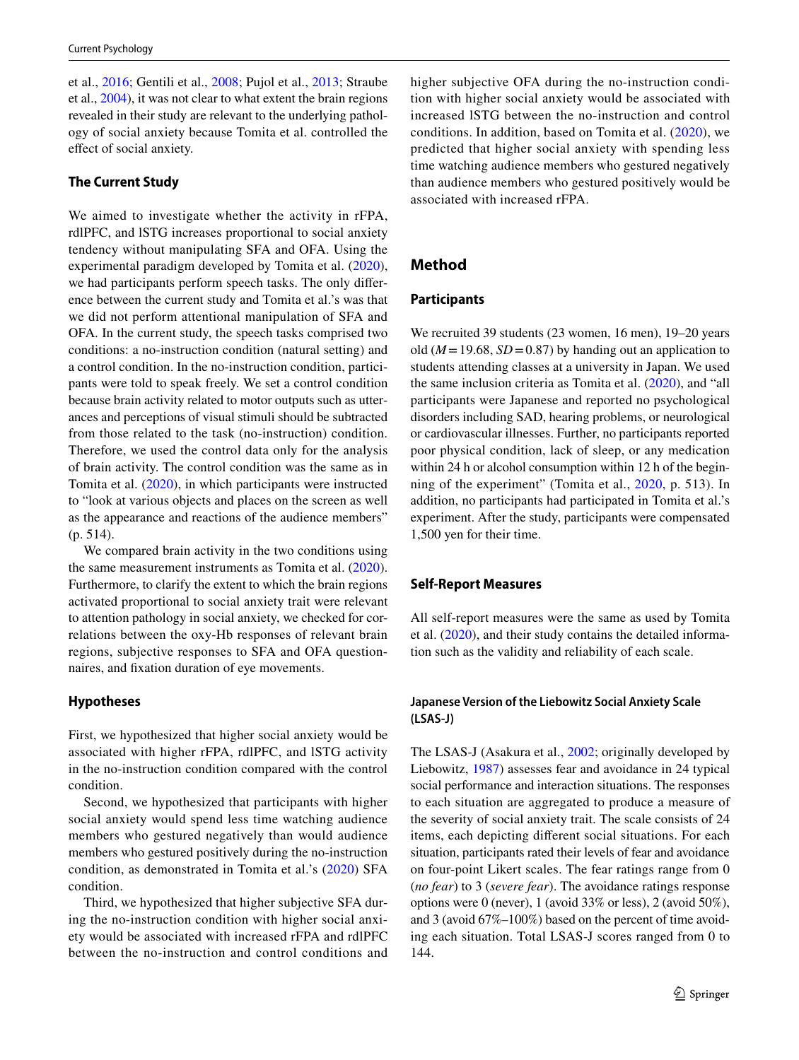et al., [2016](#page-11-9); Gentili et al., [2008;](#page-11-13) Pujol et al., [2013;](#page-12-13) Straube et al., [2004\)](#page-12-18), it was not clear to what extent the brain regions revealed in their study are relevant to the underlying pathology of social anxiety because Tomita et al. controlled the efect of social anxiety.

#### **The Current Study**

We aimed to investigate whether the activity in rFPA, rdlPFC, and lSTG increases proportional to social anxiety tendency without manipulating SFA and OFA. Using the experimental paradigm developed by Tomita et al. [\(2020](#page-12-14)), we had participants perform speech tasks. The only diference between the current study and Tomita et al.'s was that we did not perform attentional manipulation of SFA and OFA. In the current study, the speech tasks comprised two conditions: a no-instruction condition (natural setting) and a control condition. In the no-instruction condition, participants were told to speak freely. We set a control condition because brain activity related to motor outputs such as utterances and perceptions of visual stimuli should be subtracted from those related to the task (no-instruction) condition. Therefore, we used the control data only for the analysis of brain activity. The control condition was the same as in Tomita et al. ([2020](#page-12-14)), in which participants were instructed to "look at various objects and places on the screen as well as the appearance and reactions of the audience members" (p. 514).

We compared brain activity in the two conditions using the same measurement instruments as Tomita et al. [\(2020](#page-12-14)). Furthermore, to clarify the extent to which the brain regions activated proportional to social anxiety trait were relevant to attention pathology in social anxiety, we checked for correlations between the oxy-Hb responses of relevant brain regions, subjective responses to SFA and OFA questionnaires, and fxation duration of eye movements.

#### **Hypotheses**

First, we hypothesized that higher social anxiety would be associated with higher rFPA, rdlPFC, and lSTG activity in the no-instruction condition compared with the control condition.

Second, we hypothesized that participants with higher social anxiety would spend less time watching audience members who gestured negatively than would audience members who gestured positively during the no-instruction condition, as demonstrated in Tomita et al.'s ([2020](#page-12-14)) SFA condition.

Third, we hypothesized that higher subjective SFA during the no-instruction condition with higher social anxiety would be associated with increased rFPA and rdlPFC between the no-instruction and control conditions and higher subjective OFA during the no-instruction condition with higher social anxiety would be associated with increased lSTG between the no-instruction and control conditions. In addition, based on Tomita et al. ([2020\)](#page-12-14), we predicted that higher social anxiety with spending less time watching audience members who gestured negatively than audience members who gestured positively would be associated with increased rFPA.

# **Method**

#### **Participants**

We recruited 39 students (23 women, 16 men), 19–20 years old ( $M = 19.68$ ,  $SD = 0.87$ ) by handing out an application to students attending classes at a university in Japan. We used the same inclusion criteria as Tomita et al. ([2020](#page-12-14)), and "all participants were Japanese and reported no psychological disorders including SAD, hearing problems, or neurological or cardiovascular illnesses. Further, no participants reported poor physical condition, lack of sleep, or any medication within 24 h or alcohol consumption within 12 h of the beginning of the experiment" (Tomita et al., [2020](#page-12-14), p. 513). In addition, no participants had participated in Tomita et al.'s experiment. After the study, participants were compensated 1,500 yen for their time.

### **Self‑Report Measures**

All self-report measures were the same as used by Tomita et al. ([2020\)](#page-12-14), and their study contains the detailed information such as the validity and reliability of each scale.

### **Japanese Version of the Liebowitz Social Anxiety Scale (LSAS‑J)**

The LSAS-J (Asakura et al., [2002](#page-11-14); originally developed by Liebowitz, [1987](#page-12-19)) assesses fear and avoidance in 24 typical social performance and interaction situations. The responses to each situation are aggregated to produce a measure of the severity of social anxiety trait. The scale consists of 24 items, each depicting diferent social situations. For each situation, participants rated their levels of fear and avoidance on four-point Likert scales. The fear ratings range from 0 (*no fear*) to 3 (*severe fear*). The avoidance ratings response options were 0 (never), 1 (avoid 33% or less), 2 (avoid 50%), and 3 (avoid 67%–100%) based on the percent of time avoiding each situation. Total LSAS-J scores ranged from 0 to 144.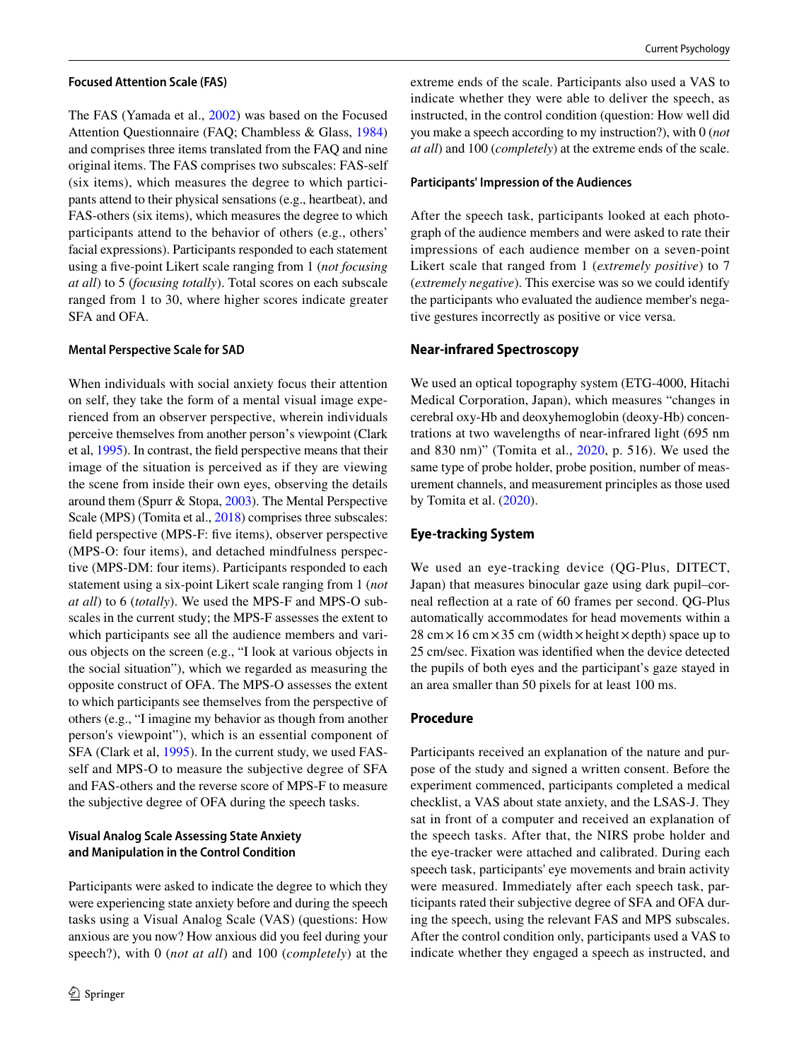#### **Focused Attention Scale (FAS)**

The FAS (Yamada et al., [2002](#page-13-0)) was based on the Focused Attention Questionnaire (FAQ; Chambless & Glass, [1984\)](#page-11-15) and comprises three items translated from the FAQ and nine original items. The FAS comprises two subscales: FAS-self (six items), which measures the degree to which participants attend to their physical sensations (e.g., heartbeat), and FAS-others (six items), which measures the degree to which participants attend to the behavior of others (e.g., others' facial expressions). Participants responded to each statement using a fve-point Likert scale ranging from 1 (*not focusing at all*) to 5 (*focusing totally*). Total scores on each subscale ranged from 1 to 30, where higher scores indicate greater SFA and OFA.

#### **Mental Perspective Scale for SAD**

When individuals with social anxiety focus their attention on self, they take the form of a mental visual image experienced from an observer perspective, wherein individuals perceive themselves from another person's viewpoint (Clark et al, [1995\)](#page-11-1). In contrast, the feld perspective means that their image of the situation is perceived as if they are viewing the scene from inside their own eyes, observing the details around them (Spurr & Stopa, [2003\)](#page-12-3). The Mental Perspective Scale (MPS) (Tomita et al., [2018\)](#page-12-20) comprises three subscales: feld perspective (MPS-F: fve items), observer perspective (MPS-O: four items), and detached mindfulness perspective (MPS-DM: four items). Participants responded to each statement using a six-point Likert scale ranging from 1 (*not at all*) to 6 (*totally*). We used the MPS-F and MPS-O subscales in the current study; the MPS-F assesses the extent to which participants see all the audience members and various objects on the screen (e.g., "I look at various objects in the social situation"), which we regarded as measuring the opposite construct of OFA. The MPS-O assesses the extent to which participants see themselves from the perspective of others (e.g., "I imagine my behavior as though from another person's viewpoint"), which is an essential component of SFA (Clark et al, [1995\)](#page-11-1). In the current study, we used FASself and MPS-O to measure the subjective degree of SFA and FAS-others and the reverse score of MPS-F to measure the subjective degree of OFA during the speech tasks.

### **Visual Analog Scale Assessing State Anxiety and Manipulation in the Control Condition**

Participants were asked to indicate the degree to which they were experiencing state anxiety before and during the speech tasks using a Visual Analog Scale (VAS) (questions: How anxious are you now? How anxious did you feel during your speech?), with 0 (*not at all*) and 100 (*completely*) at the extreme ends of the scale. Participants also used a VAS to indicate whether they were able to deliver the speech, as instructed, in the control condition (question: How well did you make a speech according to my instruction?), with 0 (*not at all*) and 100 (*completely*) at the extreme ends of the scale.

#### **Participants' Impression of the Audiences**

After the speech task, participants looked at each photograph of the audience members and were asked to rate their impressions of each audience member on a seven-point Likert scale that ranged from 1 (*extremely positive*) to 7 (*extremely negative*). This exercise was so we could identify the participants who evaluated the audience member's negative gestures incorrectly as positive or vice versa.

#### **Near‑infrared Spectroscopy**

We used an optical topography system (ETG-4000, Hitachi Medical Corporation, Japan), which measures "changes in cerebral oxy-Hb and deoxyhemoglobin (deoxy-Hb) concentrations at two wavelengths of near-infrared light (695 nm and 830 nm)" (Tomita et al., [2020,](#page-12-14) p. 516). We used the same type of probe holder, probe position, number of measurement channels, and measurement principles as those used by Tomita et al. [\(2020](#page-12-14)).

#### **Eye‑tracking System**

We used an eye-tracking device (QG-Plus, DITECT, Japan) that measures binocular gaze using dark pupil–corneal refection at a rate of 60 frames per second. QG-Plus automatically accommodates for head movements within a  $28 \text{ cm} \times 16 \text{ cm} \times 35 \text{ cm}$  (width  $\times$  height  $\times$  depth) space up to 25 cm/sec. Fixation was identifed when the device detected the pupils of both eyes and the participant's gaze stayed in an area smaller than 50 pixels for at least 100 ms.

#### **Procedure**

Participants received an explanation of the nature and purpose of the study and signed a written consent. Before the experiment commenced, participants completed a medical checklist, a VAS about state anxiety, and the LSAS-J. They sat in front of a computer and received an explanation of the speech tasks. After that, the NIRS probe holder and the eye-tracker were attached and calibrated. During each speech task, participants' eye movements and brain activity were measured. Immediately after each speech task, participants rated their subjective degree of SFA and OFA during the speech, using the relevant FAS and MPS subscales. After the control condition only, participants used a VAS to indicate whether they engaged a speech as instructed, and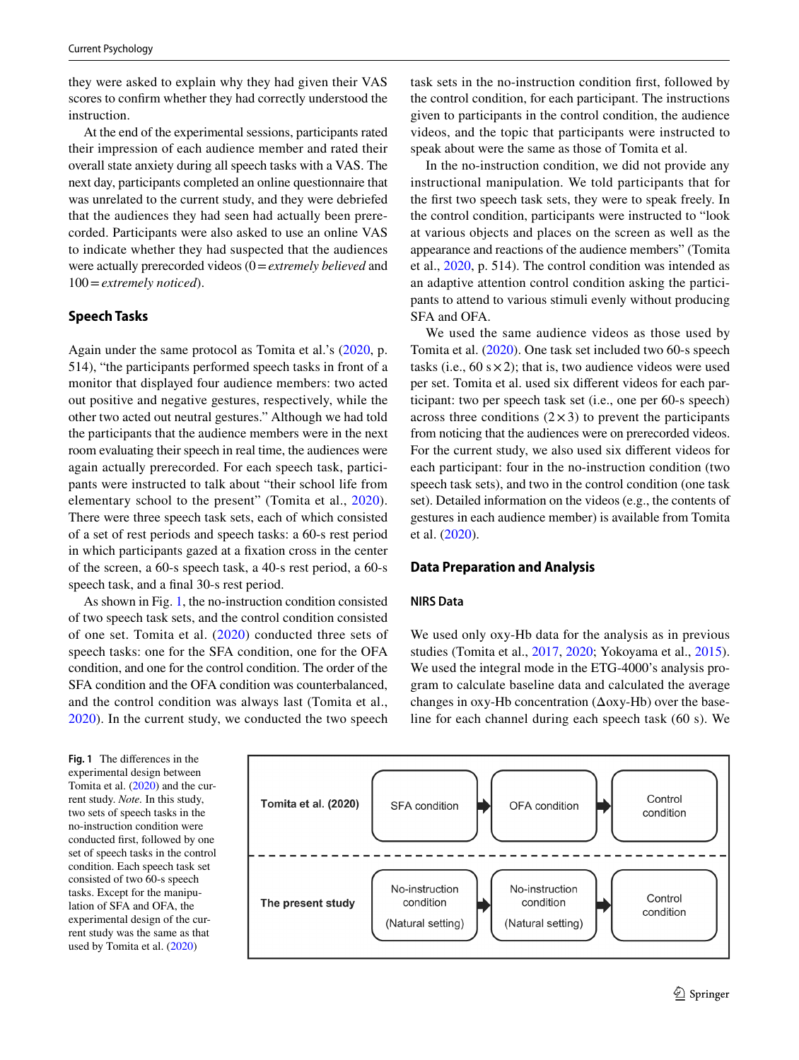they were asked to explain why they had given their VAS scores to confrm whether they had correctly understood the instruction.

At the end of the experimental sessions, participants rated their impression of each audience member and rated their overall state anxiety during all speech tasks with a VAS. The next day, participants completed an online questionnaire that was unrelated to the current study, and they were debriefed that the audiences they had seen had actually been prerecorded. Participants were also asked to use an online VAS to indicate whether they had suspected that the audiences were actually prerecorded videos (0=*extremely believed* and 100=*extremely noticed*).

#### **Speech Tasks**

Again under the same protocol as Tomita et al.'s ([2020](#page-12-14), p. 514), "the participants performed speech tasks in front of a monitor that displayed four audience members: two acted out positive and negative gestures, respectively, while the other two acted out neutral gestures." Although we had told the participants that the audience members were in the next room evaluating their speech in real time, the audiences were again actually prerecorded. For each speech task, participants were instructed to talk about "their school life from elementary school to the present" (Tomita et al., [2020](#page-12-14)). There were three speech task sets, each of which consisted of a set of rest periods and speech tasks: a 60-s rest period in which participants gazed at a fxation cross in the center of the screen, a 60-s speech task, a 40-s rest period, a 60-s speech task, and a fnal 30-s rest period.

As shown in Fig. [1](#page-4-0), the no-instruction condition consisted of two speech task sets, and the control condition consisted of one set. Tomita et al. ([2020\)](#page-12-14) conducted three sets of speech tasks: one for the SFA condition, one for the OFA condition, and one for the control condition. The order of the SFA condition and the OFA condition was counterbalanced, and the control condition was always last (Tomita et al., [2020\)](#page-12-14). In the current study, we conducted the two speech

task sets in the no-instruction condition frst, followed by the control condition, for each participant. The instructions given to participants in the control condition, the audience videos, and the topic that participants were instructed to speak about were the same as those of Tomita et al.

In the no-instruction condition, we did not provide any instructional manipulation. We told participants that for the frst two speech task sets, they were to speak freely. In the control condition, participants were instructed to "look at various objects and places on the screen as well as the appearance and reactions of the audience members" (Tomita et al., [2020](#page-12-14), p. 514). The control condition was intended as an adaptive attention control condition asking the participants to attend to various stimuli evenly without producing SFA and OFA.

We used the same audience videos as those used by Tomita et al. ([2020\)](#page-12-14). One task set included two 60-s speech tasks (i.e.,  $60 \text{ s} \times 2$ ); that is, two audience videos were used per set. Tomita et al. used six diferent videos for each participant: two per speech task set (i.e., one per 60-s speech) across three conditions  $(2 \times 3)$  to prevent the participants from noticing that the audiences were on prerecorded videos. For the current study, we also used six diferent videos for each participant: four in the no-instruction condition (two speech task sets), and two in the control condition (one task set). Detailed information on the videos (e.g., the contents of gestures in each audience member) is available from Tomita et al. [\(2020\)](#page-12-14).

#### **Data Preparation and Analysis**

#### **NIRS Data**

We used only oxy-Hb data for the analysis as in previous studies (Tomita et al., [2017,](#page-12-21) [2020](#page-12-14); Yokoyama et al., [2015](#page-13-1)). We used the integral mode in the ETG-4000's analysis program to calculate baseline data and calculated the average changes in oxy-Hb concentration (Δoxy-Hb) over the baseline for each channel during each speech task (60 s). We

<span id="page-4-0"></span>**Fig. 1** The diferences in the experimental design between Tomita et al. ([2020\)](#page-12-14) and the current study. *Note.* In this study, two sets of speech tasks in the no-instruction condition were conducted frst, followed by one set of speech tasks in the control condition. Each speech task set consisted of two 60-s speech tasks. Except for the manipulation of SFA and OFA, the experimental design of the current study was the same as that used by Tomita et al. [\(2020](#page-12-14))

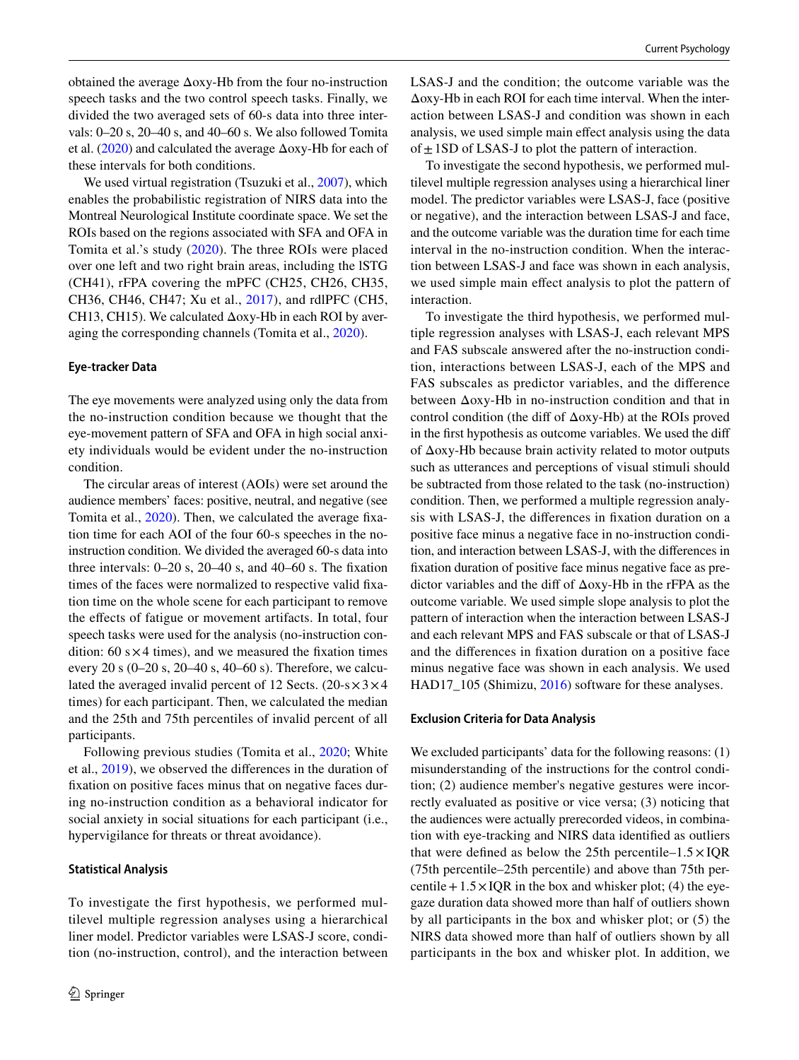obtained the average Δoxy-Hb from the four no-instruction speech tasks and the two control speech tasks. Finally, we divided the two averaged sets of 60-s data into three intervals: 0–20 s, 20–40 s, and 40–60 s. We also followed Tomita et al. ([2020\)](#page-12-14) and calculated the average Δoxy-Hb for each of these intervals for both conditions.

We used virtual registration (Tsuzuki et al., [2007\)](#page-12-22), which enables the probabilistic registration of NIRS data into the Montreal Neurological Institute coordinate space. We set the ROIs based on the regions associated with SFA and OFA in Tomita et al.'s study ([2020](#page-12-14)). The three ROIs were placed over one left and two right brain areas, including the lSTG (CH41), rFPA covering the mPFC (CH25, CH26, CH35, CH36, CH46, CH47; Xu et al., [2017](#page-12-15)), and rdlPFC (CH5, CH13, CH15). We calculated  $\Delta$ oxy-Hb in each ROI by averaging the corresponding channels (Tomita et al., [2020](#page-12-14)).

#### **Eye‑tracker Data**

The eye movements were analyzed using only the data from the no-instruction condition because we thought that the eye-movement pattern of SFA and OFA in high social anxiety individuals would be evident under the no-instruction condition.

The circular areas of interest (AOIs) were set around the audience members' faces: positive, neutral, and negative (see Tomita et al., [2020](#page-12-14)). Then, we calculated the average fxation time for each AOI of the four 60-s speeches in the noinstruction condition. We divided the averaged 60-s data into three intervals:  $0-20$  s,  $20-40$  s, and  $40-60$  s. The fixation times of the faces were normalized to respective valid fxation time on the whole scene for each participant to remove the efects of fatigue or movement artifacts. In total, four speech tasks were used for the analysis (no-instruction condition:  $60 \text{ s} \times 4$  times), and we measured the fixation times every 20 s (0–20 s, 20–40 s, 40–60 s). Therefore, we calculated the averaged invalid percent of 12 Sects.  $(20-s \times 3 \times 4$ times) for each participant. Then, we calculated the median and the 25th and 75th percentiles of invalid percent of all participants.

Following previous studies (Tomita et al., [2020](#page-12-14); White et al., [2019\)](#page-12-23), we observed the diferences in the duration of fxation on positive faces minus that on negative faces during no-instruction condition as a behavioral indicator for social anxiety in social situations for each participant (i.e., hypervigilance for threats or threat avoidance).

#### **Statistical Analysis**

To investigate the first hypothesis, we performed multilevel multiple regression analyses using a hierarchical liner model. Predictor variables were LSAS-J score, condition (no-instruction, control), and the interaction between LSAS-J and the condition; the outcome variable was the Δoxy-Hb in each ROI for each time interval. When the interaction between LSAS-J and condition was shown in each analysis, we used simple main efect analysis using the data of  $\pm$  1SD of LSAS-J to plot the pattern of interaction.

To investigate the second hypothesis, we performed multilevel multiple regression analyses using a hierarchical liner model. The predictor variables were LSAS-J, face (positive or negative), and the interaction between LSAS-J and face, and the outcome variable was the duration time for each time interval in the no-instruction condition. When the interaction between LSAS-J and face was shown in each analysis, we used simple main efect analysis to plot the pattern of interaction.

To investigate the third hypothesis, we performed multiple regression analyses with LSAS-J, each relevant MPS and FAS subscale answered after the no-instruction condition, interactions between LSAS-J, each of the MPS and FAS subscales as predictor variables, and the diference between Δoxy-Hb in no-instruction condition and that in control condition (the dif of Δoxy-Hb) at the ROIs proved in the frst hypothesis as outcome variables. We used the dif of Δoxy-Hb because brain activity related to motor outputs such as utterances and perceptions of visual stimuli should be subtracted from those related to the task (no-instruction) condition. Then, we performed a multiple regression analysis with LSAS-J, the diferences in fxation duration on a positive face minus a negative face in no-instruction condition, and interaction between LSAS-J, with the diferences in fxation duration of positive face minus negative face as predictor variables and the dif of Δoxy-Hb in the rFPA as the outcome variable. We used simple slope analysis to plot the pattern of interaction when the interaction between LSAS-J and each relevant MPS and FAS subscale or that of LSAS-J and the diferences in fxation duration on a positive face minus negative face was shown in each analysis. We used HAD17\_105 (Shimizu, [2016\)](#page-12-24) software for these analyses.

#### **Exclusion Criteria for Data Analysis**

We excluded participants' data for the following reasons: (1) misunderstanding of the instructions for the control condition; (2) audience member's negative gestures were incorrectly evaluated as positive or vice versa; (3) noticing that the audiences were actually prerecorded videos, in combination with eye-tracking and NIRS data identifed as outliers that were defined as below the 25th percentile–1.5  $\times$  IQR (75th percentile–25th percentile) and above than 75th percentile +  $1.5 \times IOR$  in the box and whisker plot; (4) the eyegaze duration data showed more than half of outliers shown by all participants in the box and whisker plot; or (5) the NIRS data showed more than half of outliers shown by all participants in the box and whisker plot. In addition, we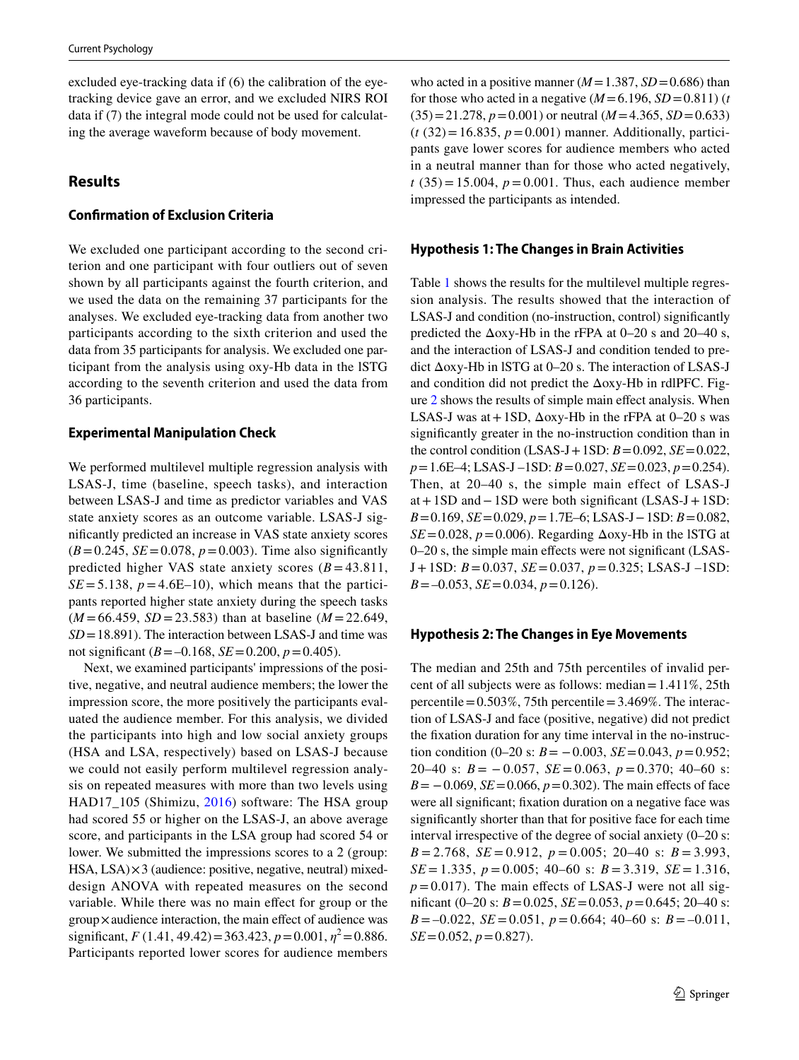excluded eye-tracking data if (6) the calibration of the eyetracking device gave an error, and we excluded NIRS ROI data if (7) the integral mode could not be used for calculating the average waveform because of body movement.

# **Results**

### **Confrmation of Exclusion Criteria**

We excluded one participant according to the second criterion and one participant with four outliers out of seven shown by all participants against the fourth criterion, and we used the data on the remaining 37 participants for the analyses. We excluded eye-tracking data from another two participants according to the sixth criterion and used the data from 35 participants for analysis. We excluded one participant from the analysis using oxy-Hb data in the lSTG according to the seventh criterion and used the data from 36 participants.

#### **Experimental Manipulation Check**

We performed multilevel multiple regression analysis with LSAS-J, time (baseline, speech tasks), and interaction between LSAS-J and time as predictor variables and VAS state anxiety scores as an outcome variable. LSAS-J signifcantly predicted an increase in VAS state anxiety scores  $(B=0.245, SE=0.078, p=0.003)$ . Time also significantly predicted higher VAS state anxiety scores  $(B = 43.811)$ ,  $SE = 5.138$ ,  $p = 4.6E-10$ , which means that the participants reported higher state anxiety during the speech tasks  $(M = 66.459, SD = 23.583)$  than at baseline  $(M = 22.649,$ *SD*=18.891). The interaction between LSAS-J and time was not significant ( $B = -0.168$ ,  $SE = 0.200$ ,  $p = 0.405$ ).

Next, we examined participants' impressions of the positive, negative, and neutral audience members; the lower the impression score, the more positively the participants evaluated the audience member. For this analysis, we divided the participants into high and low social anxiety groups (HSA and LSA, respectively) based on LSAS-J because we could not easily perform multilevel regression analysis on repeated measures with more than two levels using HAD17\_105 (Shimizu, [2016](#page-12-24)) software: The HSA group had scored 55 or higher on the LSAS-J, an above average score, and participants in the LSA group had scored 54 or lower. We submitted the impressions scores to a 2 (group: HSA, LSA)×3 (audience: positive, negative, neutral) mixeddesign ANOVA with repeated measures on the second variable. While there was no main efect for group or the group×audience interaction, the main efect of audience was significant,  $F(1.41, 49.42) = 363.423$ ,  $p = 0.001$ ,  $p^2 = 0.886$ . Participants reported lower scores for audience members

who acted in a positive manner  $(M=1.387, SD=0.686)$  than for those who acted in a negative  $(M=6.196, SD=0.811)$  (*t*  $(35)=21.278$ ,  $p=0.001$ ) or neutral ( $M=4.365$ ,  $SD=0.633$ )  $(t (32)=16.835, p=0.001)$  manner. Additionally, participants gave lower scores for audience members who acted in a neutral manner than for those who acted negatively,  $t(35) = 15.004$ ,  $p = 0.001$ . Thus, each audience member impressed the participants as intended.

#### **Hypothesis 1: The Changes in Brain Activities**

Table [1](#page-7-0) shows the results for the multilevel multiple regression analysis. The results showed that the interaction of LSAS-J and condition (no-instruction, control) signifcantly predicted the  $\Delta$ oxy-Hb in the rFPA at 0–20 s and 20–40 s, and the interaction of LSAS-J and condition tended to predict Δoxy-Hb in lSTG at 0–20 s. The interaction of LSAS-J and condition did not predict the Δoxy-Hb in rdlPFC. Figure [2](#page-8-0) shows the results of simple main efect analysis. When LSAS-J was at  $+1SD$ ,  $\Delta$ oxy-Hb in the rFPA at 0–20 s was signifcantly greater in the no-instruction condition than in the control condition (LSAS-J + 1SD:  $B = 0.092$ ,  $SE = 0.022$ , *p*=1.6E–4; LSAS-J –1SD: *B*=0.027, *SE*=0.023, *p*=0.254). Then, at 20–40 s, the simple main effect of LSAS-J at+1SD and−1SD were both signifcant (LSAS-J+1SD: *B*=0.169, *SE*=0.029, *p*=1.7E–6; LSAS-J−1SD: *B*=0.082,  $SE = 0.028$ ,  $p = 0.006$ ). Regarding  $\Delta$ oxy-Hb in the ISTG at 0–20 s, the simple main efects were not signifcant (LSAS-J+1SD: *B*=0.037, *SE*=0.037, *p*=0.325; LSAS-J –1SD: *B*=–0.053, *SE*=0.034, *p*=0.126).

### **Hypothesis 2: The Changes in Eye Movements**

The median and 25th and 75th percentiles of invalid percent of all subjects were as follows: median=1.411%, 25th percentile =  $0.503\%$ , 75th percentile =  $3.469\%$ . The interaction of LSAS-J and face (positive, negative) did not predict the fxation duration for any time interval in the no-instruction condition (0–20 s:  $B = -0.003$ ,  $SE = 0.043$ ,  $p = 0.952$ ; 20–40 s:  $B = -0.057$ ,  $SE = 0.063$ ,  $p = 0.370$ ; 40–60 s:  $B = -0.069$ ,  $SE = 0.066$ ,  $p = 0.302$ ). The main effects of face were all signifcant; fxation duration on a negative face was signifcantly shorter than that for positive face for each time interval irrespective of the degree of social anxiety (0–20 s: *B* = 2.768, *SE* = 0.912, *p* = 0.005; 20–40 s: *B* = 3.993, *SE* = 1.335, *p* = 0.005; 40–60 s: *B* = 3.319, *SE* = 1.316,  $p = 0.017$ ). The main effects of LSAS-J were not all signifcant (0–20 s: *B*=0.025, *SE*=0.053, *p*=0.645; 20–40 s: *B* = –0.022, *SE* = 0.051, *p* = 0.664; 40–60 s: *B* = –0.011, *SE*=0.052, *p*=0.827).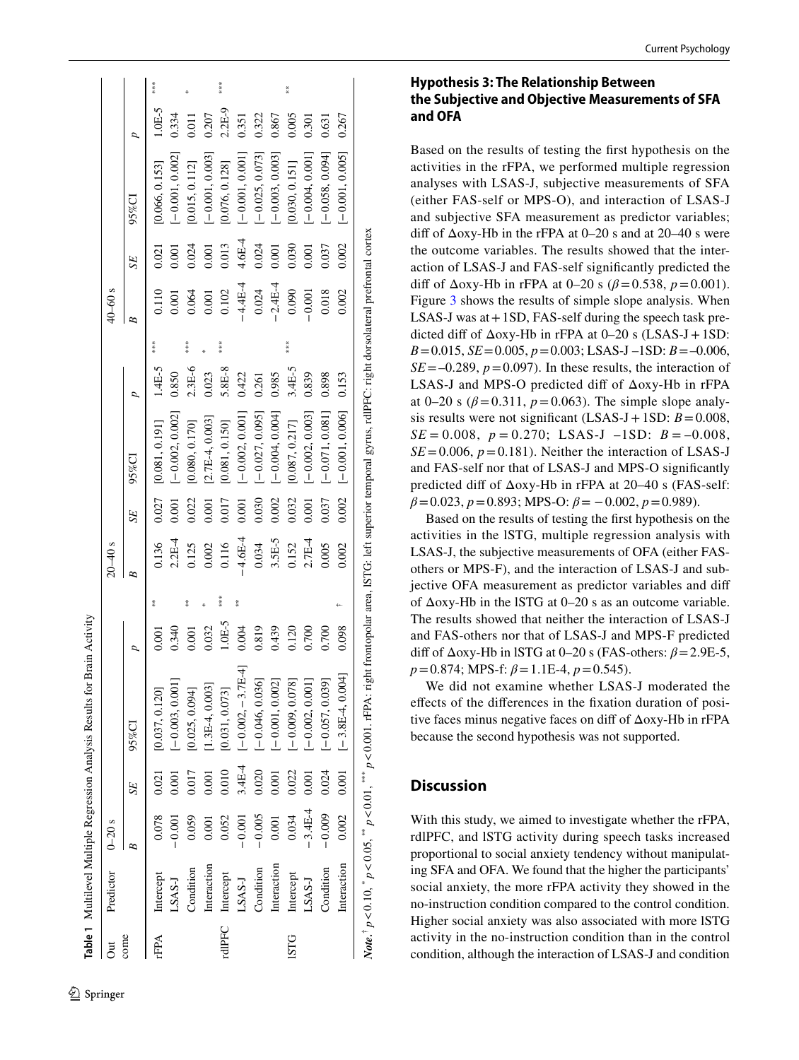|               |                  |            |        | Table 1 Multilevel Multiple Regression Analysis Results for Brain Activity                                                                                                                      |        |                 |             |       |                   |        |     |             |        |                   |          |     |
|---------------|------------------|------------|--------|-------------------------------------------------------------------------------------------------------------------------------------------------------------------------------------------------|--------|-----------------|-------------|-------|-------------------|--------|-----|-------------|--------|-------------------|----------|-----|
| ā             | Predictor        | $0 - 20$ s |        |                                                                                                                                                                                                 |        |                 | $20 - 40$ s |       |                   |        |     | $40 - 60$ s |        |                   |          |     |
| $_{\rm cone}$ |                  |            | SE     | 95%CI                                                                                                                                                                                           |        |                 | B           | SE    | 95%CI             |        |     | B           | SE     | 95%CI             | p        |     |
| rFPA          | Intercept        | 0.078      | 0.021  | [0.037, 0.120]                                                                                                                                                                                  | 0.001  | $\frac{w}{k}$   | 0.136       | 0.027 | [0.081, 0.191]    | 1.4E-5 | $*$ | 0.110       | 0.021  | [0.066, 0.153]    | $1.0E-5$ | $*$ |
|               | LSAS-J           | $-0.001$   |        | $[-0.003, 0.001]$                                                                                                                                                                               | 0.340  |                 | $2.2E-4$    | 0.001 | $[-0.002, 0.002]$ | 0.850  |     | 0.001       | 0.001  | $[-0.001, 0.002]$ | 0.334    |     |
|               | Condition        | 0.059      |        | [0.025, 0.094]                                                                                                                                                                                  | 0.001  | $\frac{36}{36}$ | 0.125       | 0.022 | [0.080, 0.170]    | 2.3E-6 |     | 0.064       | 0.024  | [0.015, 0.112]    | 0.011    |     |
|               | Interaction      | 0.001      | 0.001  | [ $1.3E-4, 0.003$ ]                                                                                                                                                                             | 0.032  |                 | 0.002       | 0.001 | $[2.7E-4, 0.003]$ | 0.023  |     | 0.001       | 0.001  | $[-0.001, 0.003]$ | 0.207    |     |
|               | rdIPFC Intercept | 0.052      | 0.010  | [0.031, 0.073]                                                                                                                                                                                  | 1.0E-5 | ***             | 0.116       | 0.017 | [0.081, 0.150]    | 5.8E-8 | $*$ | 0.102       | 0.013  | [0.076, 0.128]    | $2.2E-9$ |     |
|               | LSAS-J           | $-0.001$   | 3.4E-4 | $[-0.002, -3.7E4]$                                                                                                                                                                              | 0.004  | 黃领              | $-4.6E-4$   | 0.001 | $[-0.002, 0.001]$ | 0.422  |     | $-4.4E-4$   | 4.6E-4 | $[-0.001, 0.001]$ | 0.351    |     |
|               | Condition        | $-0.005$   | 0.020  | $[-0.046, 0.036]$                                                                                                                                                                               | 0.819  |                 | 0.034       | 0.030 | $[-0.027, 0.095]$ | 0.261  |     | 0.024       | 0.024  | $[-0.025, 0.073]$ | 0.322    |     |
|               | Interaction      | 0.001      | 0.001  | $[-0.001, 0.002]$                                                                                                                                                                               | 0.439  |                 | $3.5E-5$    | 0.002 | $[-0.004, 0.004]$ | 0.985  |     | $-2.4E-4$   | 0.001  | $[-0.003, 0.003]$ | 0.867    |     |
| <b>DLSI</b>   | Intercept        | 0.034      | 0.022  | $[-0.009, 0.078]$                                                                                                                                                                               | 0.120  |                 | 0.152       | 0.032 | [0.087, 0.217]    | 3.4E-5 | $*$ | 0.090       | 0.030  | [0.030, 0.151]    | 0.005    | $*$ |
|               | LSAS-J           | $-3.4E-4$  | 0.001  | $[-0.002, 0.001]$                                                                                                                                                                               | 0.700  |                 | $2.7E-4$    | 0.001 | $[-0.002, 0.003]$ | 0.839  |     | 0.001       | 0.001  | $[-0.004, 0.001]$ | 0.301    |     |
|               | Condition        | $-0.009$   | 0.024  | $[-0.057, 0.039]$                                                                                                                                                                               | 0.700  |                 | 1.005       | 0.037 | $[-0.071, 0.081]$ | 0.898  |     | 0.018       | 0.037  | $[-0.058, 0.094]$ | 0.631    |     |
|               | Interaction      | 0.002      | 0.001  | $[-3.8E-4, 0.004]$                                                                                                                                                                              | 0.098  |                 | 0.002       | 0.002 | $[-0.001, 0.006]$ | 0.153  |     | 0.002       | 0.002  | $[-0.001, 0.005]$ | 0.267    |     |
|               |                  |            |        | Note. <sup>†</sup> $p < 0.10$ , * $p < 0.05$ , ** $p < 0.01$ , *** $p < 0.001$ . rFPA: right frontopolar area, ISTG: left superior temporal gyrus, rdIPFC: right dorsolateral prefrontal cortex |        |                 |             |       |                   |        |     |             |        |                   |          |     |

### **Hypothesis 3: The Relationship Between the Subjective and Objective Measurements of SFA and OFA**

Based on the results of testing the frst hypothesis on the activities in the rFPA, we performed multiple regression analyses with LSAS-J, subjective measurements of SFA (either FAS-self or MPS-O), and interaction of LSAS-J and subjective SFA measurement as predictor variables; diff of  $\Delta$ oxy-Hb in the rFPA at 0–20 s and at 20–40 s were the outcome variables. The results showed that the inter action of LSAS-J and FAS-self signifcantly predicted the diff of  $\Delta$ oxy-Hb in rFPA at 0–20 s ( $\beta$  = 0.538,  $p$  = 0.001). Figure [3](#page-8-1) shows the results of simple slope analysis. When LSAS-J was at + 1SD, FAS-self during the speech task predicted diff of  $Δoxy-Hb$  in rFPA at  $0-20$  s (LSAS-J + 1SD:  $B = 0.015$ ,  $SE = 0.005$ ,  $p = 0.003$ ; LSAS-J -1SD:  $B = -0.006$ ,  $SE = -0.289$ ,  $p = 0.097$ ). In these results, the interaction of LSAS-J and MPS-O predicted diff of  $\Delta$ oxy-Hb in rFPA at 0–20 s  $(\beta = 0.311, p = 0.063)$ . The simple slope analysis results were not significant  $(LSAS-J+1SD: B=0.008$ ,  $SE = 0.008$ ,  $p = 0.270$ ; LSAS-J  $-1SD$ :  $B = -0.008$ ,  $SE = 0.006$ ,  $p = 0.181$ ). Neither the interaction of LSAS-J and FAS-self nor that of LSAS-J and MPS-O signifcantly predicted diff of  $\Delta$ oxy-Hb in rFPA at 20–40 s (FAS-self: *β*=0.023, *p*=0.893; MPS-O: *β*= −0.002, *p*=0.989).

Based on the results of testing the frst hypothesis on the activities in the lSTG, multiple regression analysis with LSAS-J, the subjective measurements of OFA (either FASothers or MPS-F), and the interaction of LSAS-J and subjective OFA measurement as predictor variables and dif of Δoxy-Hb in the lSTG at 0–20 s as an outcome variable. The results showed that neither the interaction of LSAS-J and FAS-others nor that of LSAS-J and MPS-F predicted diff of  $\Delta$ oxy-Hb in lSTG at 0–20 s (FAS-others:  $\beta$  = 2.9E-5,  $p = 0.874$ ; MPS-f:  $\beta = 1.1E$ -4,  $p = 0.545$ ).

We did not examine whether LSAS-J moderated the efects of the diferences in the fxation duration of posi tive faces minus negative faces on diff of  $\Delta$ oxy-Hb in rFPA because the second hypothesis was not supported.

# **Discussion**

<span id="page-7-0"></span>With this study, we aimed to investigate whether the rFPA, rdlPFC, and lSTG activity during speech tasks increased proportional to social anxiety tendency without manipulat ing SFA and OFA. We found that the higher the participants' social anxiety, the more rFPA activity they showed in the no-instruction condition compared to the control condition. Higher social anxiety was also associated with more lSTG activity in the no-instruction condition than in the control condition, although the interaction of LSAS-J and condition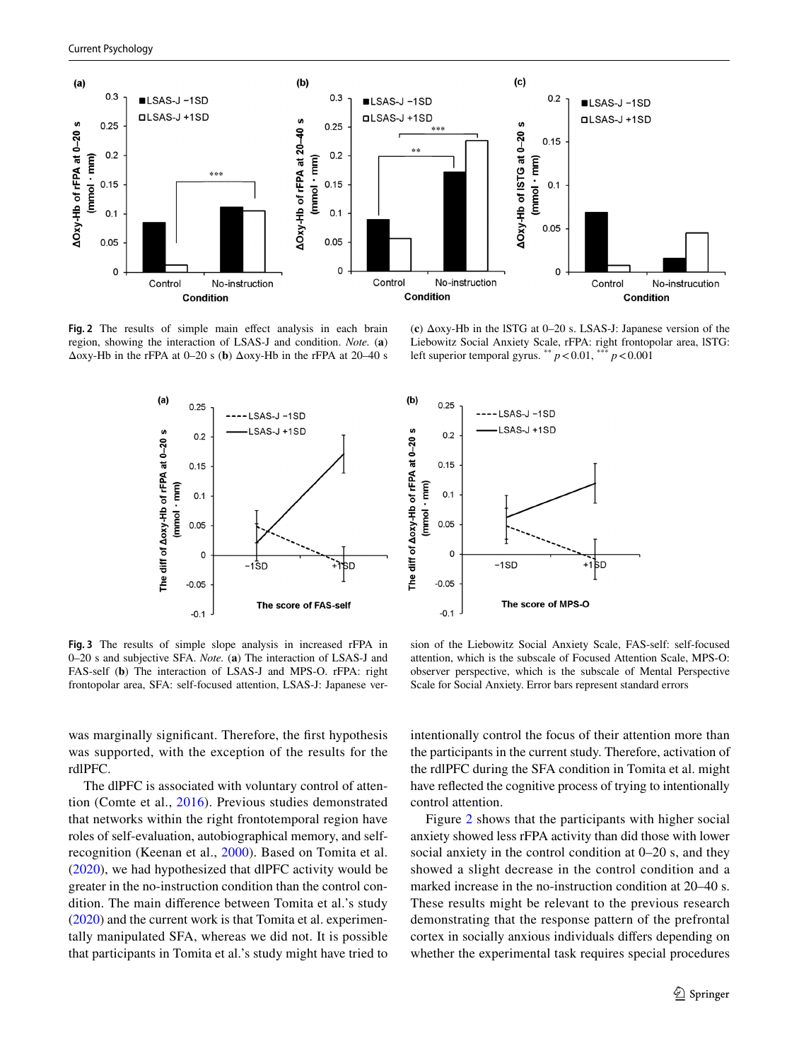

<span id="page-8-0"></span>Fig. 2 The results of simple main effect analysis in each brain region, showing the interaction of LSAS-J and condition. *Note.* (**a**) Δoxy-Hb in the rFPA at 0–20 s (**b**) Δoxy-Hb in the rFPA at 20–40 s

 $(a)$  $0.25$ -LSAS-J-1SD LSAS-J +1SD The diff of Aoxy-Hb of rFPA at 0-20 s  $0.2$  $0.15$ (mmol · mm)  $0.1$  $0.05$  $\circ$ -1̀SD ŧс  $-0.05$ The score of FAS-self  $-0.1$ 

(**c**) Δoxy-Hb in the lSTG at 0–20 s. LSAS-J: Japanese version of the Liebowitz Social Anxiety Scale, rFPA: right frontopolar area, lSTG: left superior temporal gyrus. \*\*  $p < 0.01$ , \*\*\*  $p < 0.001$ 



<span id="page-8-1"></span>**Fig. 3** The results of simple slope analysis in increased rFPA in 0–20 s and subjective SFA. *Note.* (**a**) The interaction of LSAS-J and FAS-self (**b**) The interaction of LSAS-J and MPS-O. rFPA: right frontopolar area, SFA: self-focused attention, LSAS-J: Japanese ver-

sion of the Liebowitz Social Anxiety Scale, FAS-self: self-focused attention, which is the subscale of Focused Attention Scale, MPS-O: observer perspective, which is the subscale of Mental Perspective Scale for Social Anxiety. Error bars represent standard errors

was marginally signifcant. Therefore, the frst hypothesis was supported, with the exception of the results for the rdlPFC.

The dlPFC is associated with voluntary control of attention (Comte et al., [2016](#page-11-16)). Previous studies demonstrated that networks within the right frontotemporal region have roles of self-evaluation, autobiographical memory, and selfrecognition (Keenan et al., [2000\)](#page-12-25). Based on Tomita et al. [\(2020\)](#page-12-14), we had hypothesized that dlPFC activity would be greater in the no-instruction condition than the control condition. The main diference between Tomita et al.'s study [\(2020](#page-12-14)) and the current work is that Tomita et al. experimentally manipulated SFA, whereas we did not. It is possible that participants in Tomita et al.'s study might have tried to

intentionally control the focus of their attention more than the participants in the current study. Therefore, activation of the rdlPFC during the SFA condition in Tomita et al. might have refected the cognitive process of trying to intentionally control attention.

Figure [2](#page-8-0) shows that the participants with higher social anxiety showed less rFPA activity than did those with lower social anxiety in the control condition at 0–20 s, and they showed a slight decrease in the control condition and a marked increase in the no-instruction condition at 20–40 s. These results might be relevant to the previous research demonstrating that the response pattern of the prefrontal cortex in socially anxious individuals difers depending on whether the experimental task requires special procedures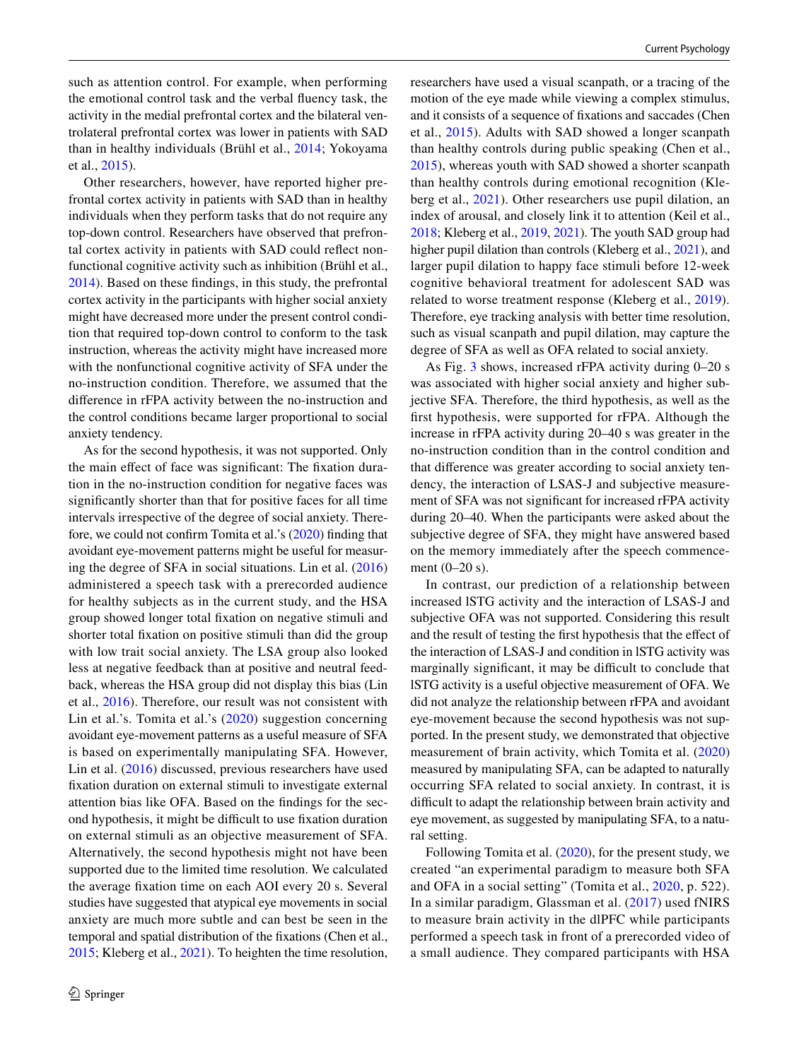such as attention control. For example, when performing the emotional control task and the verbal fuency task, the activity in the medial prefrontal cortex and the bilateral ventrolateral prefrontal cortex was lower in patients with SAD than in healthy individuals (Brühl et al., [2014;](#page-11-17) Yokoyama et al., [2015\)](#page-13-1).

Other researchers, however, have reported higher prefrontal cortex activity in patients with SAD than in healthy individuals when they perform tasks that do not require any top-down control. Researchers have observed that prefrontal cortex activity in patients with SAD could refect nonfunctional cognitive activity such as inhibition (Brühl et al., [2014](#page-11-17)). Based on these fndings, in this study, the prefrontal cortex activity in the participants with higher social anxiety might have decreased more under the present control condition that required top-down control to conform to the task instruction, whereas the activity might have increased more with the nonfunctional cognitive activity of SFA under the no-instruction condition. Therefore, we assumed that the diference in rFPA activity between the no-instruction and the control conditions became larger proportional to social anxiety tendency.

As for the second hypothesis, it was not supported. Only the main effect of face was significant: The fixation duration in the no-instruction condition for negative faces was signifcantly shorter than that for positive faces for all time intervals irrespective of the degree of social anxiety. Therefore, we could not confrm Tomita et al.'s ([2020](#page-12-14)) fnding that avoidant eye-movement patterns might be useful for measuring the degree of SFA in social situations. Lin et al. ([2016\)](#page-12-26) administered a speech task with a prerecorded audience for healthy subjects as in the current study, and the HSA group showed longer total fxation on negative stimuli and shorter total fxation on positive stimuli than did the group with low trait social anxiety. The LSA group also looked less at negative feedback than at positive and neutral feedback, whereas the HSA group did not display this bias (Lin et al., [2016\)](#page-12-26). Therefore, our result was not consistent with Lin et al.'s. Tomita et al.'s ([2020](#page-12-14)) suggestion concerning avoidant eye-movement patterns as a useful measure of SFA is based on experimentally manipulating SFA. However, Lin et al. ([2016\)](#page-12-26) discussed, previous researchers have used fxation duration on external stimuli to investigate external attention bias like OFA. Based on the fndings for the second hypothesis, it might be difficult to use fixation duration on external stimuli as an objective measurement of SFA. Alternatively, the second hypothesis might not have been supported due to the limited time resolution. We calculated the average fxation time on each AOI every 20 s. Several studies have suggested that atypical eye movements in social anxiety are much more subtle and can best be seen in the temporal and spatial distribution of the fxations (Chen et al., [2015](#page-11-18); Kleberg et al., [2021](#page-12-27)). To heighten the time resolution,

researchers have used a visual scanpath, or a tracing of the motion of the eye made while viewing a complex stimulus, and it consists of a sequence of fxations and saccades (Chen et al., [2015](#page-11-18)). Adults with SAD showed a longer scanpath than healthy controls during public speaking (Chen et al., [2015](#page-11-18)), whereas youth with SAD showed a shorter scanpath than healthy controls during emotional recognition (Kleberg et al., [2021](#page-12-27)). Other researchers use pupil dilation, an index of arousal, and closely link it to attention (Keil et al., [2018;](#page-12-28) Kleberg et al., [2019](#page-12-29), [2021\)](#page-12-27). The youth SAD group had higher pupil dilation than controls (Kleberg et al., [2021](#page-12-27)), and larger pupil dilation to happy face stimuli before 12-week cognitive behavioral treatment for adolescent SAD was related to worse treatment response (Kleberg et al., [2019](#page-12-29)). Therefore, eye tracking analysis with better time resolution, such as visual scanpath and pupil dilation, may capture the degree of SFA as well as OFA related to social anxiety.

As Fig. [3](#page-8-1) shows, increased rFPA activity during 0–20 s was associated with higher social anxiety and higher subjective SFA. Therefore, the third hypothesis, as well as the frst hypothesis, were supported for rFPA. Although the increase in rFPA activity during 20–40 s was greater in the no-instruction condition than in the control condition and that diference was greater according to social anxiety tendency, the interaction of LSAS-J and subjective measurement of SFA was not signifcant for increased rFPA activity during 20–40. When the participants were asked about the subjective degree of SFA, they might have answered based on the memory immediately after the speech commencement (0–20 s).

In contrast, our prediction of a relationship between increased lSTG activity and the interaction of LSAS-J and subjective OFA was not supported. Considering this result and the result of testing the frst hypothesis that the efect of the interaction of LSAS-J and condition in lSTG activity was marginally significant, it may be difficult to conclude that lSTG activity is a useful objective measurement of OFA. We did not analyze the relationship between rFPA and avoidant eye-movement because the second hypothesis was not supported. In the present study, we demonstrated that objective measurement of brain activity, which Tomita et al. ([2020\)](#page-12-14) measured by manipulating SFA, can be adapted to naturally occurring SFA related to social anxiety. In contrast, it is difficult to adapt the relationship between brain activity and eye movement, as suggested by manipulating SFA, to a natural setting.

Following Tomita et al. ([2020\)](#page-12-14), for the present study, we created "an experimental paradigm to measure both SFA and OFA in a social setting" (Tomita et al., [2020](#page-12-14), p. 522). In a similar paradigm, Glassman et al. [\(2017](#page-11-19)) used fNIRS to measure brain activity in the dlPFC while participants performed a speech task in front of a prerecorded video of a small audience. They compared participants with HSA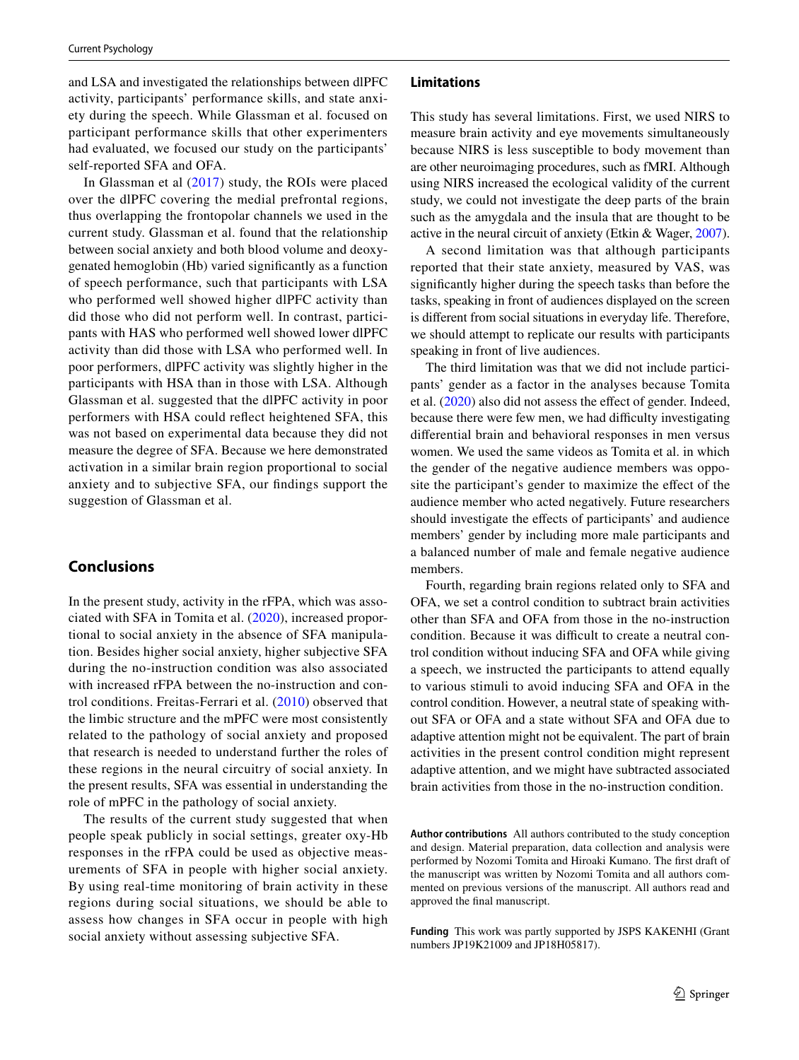and LSA and investigated the relationships between dlPFC activity, participants' performance skills, and state anxiety during the speech. While Glassman et al. focused on participant performance skills that other experimenters had evaluated, we focused our study on the participants' self-reported SFA and OFA.

In Glassman et al ([2017\)](#page-11-19) study, the ROIs were placed over the dlPFC covering the medial prefrontal regions, thus overlapping the frontopolar channels we used in the current study. Glassman et al. found that the relationship between social anxiety and both blood volume and deoxygenated hemoglobin (Hb) varied signifcantly as a function of speech performance, such that participants with LSA who performed well showed higher dlPFC activity than did those who did not perform well. In contrast, participants with HAS who performed well showed lower dlPFC activity than did those with LSA who performed well. In poor performers, dlPFC activity was slightly higher in the participants with HSA than in those with LSA. Although Glassman et al. suggested that the dlPFC activity in poor performers with HSA could refect heightened SFA, this was not based on experimental data because they did not measure the degree of SFA. Because we here demonstrated activation in a similar brain region proportional to social anxiety and to subjective SFA, our fndings support the suggestion of Glassman et al.

# **Conclusions**

In the present study, activity in the rFPA, which was associated with SFA in Tomita et al. ([2020\)](#page-12-14), increased proportional to social anxiety in the absence of SFA manipulation. Besides higher social anxiety, higher subjective SFA during the no-instruction condition was also associated with increased rFPA between the no-instruction and control conditions. Freitas-Ferrari et al. ([2010](#page-11-20)) observed that the limbic structure and the mPFC were most consistently related to the pathology of social anxiety and proposed that research is needed to understand further the roles of these regions in the neural circuitry of social anxiety. In the present results, SFA was essential in understanding the role of mPFC in the pathology of social anxiety.

The results of the current study suggested that when people speak publicly in social settings, greater oxy-Hb responses in the rFPA could be used as objective measurements of SFA in people with higher social anxiety. By using real-time monitoring of brain activity in these regions during social situations, we should be able to assess how changes in SFA occur in people with high social anxiety without assessing subjective SFA.

#### **Limitations**

This study has several limitations. First, we used NIRS to measure brain activity and eye movements simultaneously because NIRS is less susceptible to body movement than are other neuroimaging procedures, such as fMRI. Although using NIRS increased the ecological validity of the current study, we could not investigate the deep parts of the brain such as the amygdala and the insula that are thought to be active in the neural circuit of anxiety (Etkin & Wager, [2007](#page-11-21)).

A second limitation was that although participants reported that their state anxiety, measured by VAS, was signifcantly higher during the speech tasks than before the tasks, speaking in front of audiences displayed on the screen is diferent from social situations in everyday life. Therefore, we should attempt to replicate our results with participants speaking in front of live audiences.

The third limitation was that we did not include participants' gender as a factor in the analyses because Tomita et al. [\(2020](#page-12-14)) also did not assess the efect of gender. Indeed, because there were few men, we had difficulty investigating diferential brain and behavioral responses in men versus women. We used the same videos as Tomita et al. in which the gender of the negative audience members was opposite the participant's gender to maximize the efect of the audience member who acted negatively. Future researchers should investigate the efects of participants' and audience members' gender by including more male participants and a balanced number of male and female negative audience members.

Fourth, regarding brain regions related only to SFA and OFA, we set a control condition to subtract brain activities other than SFA and OFA from those in the no-instruction condition. Because it was difficult to create a neutral control condition without inducing SFA and OFA while giving a speech, we instructed the participants to attend equally to various stimuli to avoid inducing SFA and OFA in the control condition. However, a neutral state of speaking without SFA or OFA and a state without SFA and OFA due to adaptive attention might not be equivalent. The part of brain activities in the present control condition might represent adaptive attention, and we might have subtracted associated brain activities from those in the no-instruction condition.

**Author contributions** All authors contributed to the study conception and design. Material preparation, data collection and analysis were performed by Nozomi Tomita and Hiroaki Kumano. The frst draft of the manuscript was written by Nozomi Tomita and all authors commented on previous versions of the manuscript. All authors read and approved the fnal manuscript.

**Funding** This work was partly supported by JSPS KAKENHI (Grant numbers JP19K21009 and JP18H05817).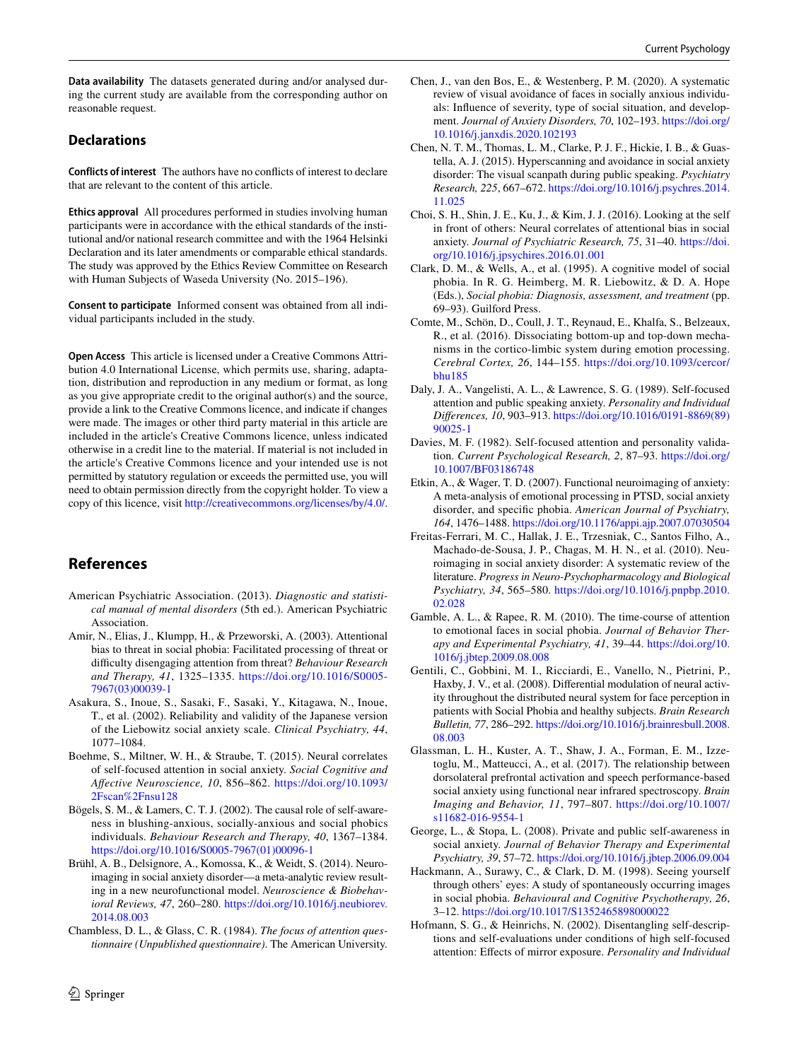**Data availability** The datasets generated during and/or analysed during the current study are available from the corresponding author on reasonable request.

# **Declarations**

**Conflicts of interest** The authors have no conficts of interest to declare that are relevant to the content of this article.

**Ethics approval** All procedures performed in studies involving human participants were in accordance with the ethical standards of the institutional and/or national research committee and with the 1964 Helsinki Declaration and its later amendments or comparable ethical standards. The study was approved by the Ethics Review Committee on Research with Human Subjects of Waseda University (No. 2015–196).

**Consent to participate** Informed consent was obtained from all individual participants included in the study.

**Open Access** This article is licensed under a Creative Commons Attribution 4.0 International License, which permits use, sharing, adaptation, distribution and reproduction in any medium or format, as long as you give appropriate credit to the original author(s) and the source, provide a link to the Creative Commons licence, and indicate if changes were made. The images or other third party material in this article are included in the article's Creative Commons licence, unless indicated otherwise in a credit line to the material. If material is not included in the article's Creative Commons licence and your intended use is not permitted by statutory regulation or exceeds the permitted use, you will need to obtain permission directly from the copyright holder. To view a copy of this licence, visit <http://creativecommons.org/licenses/by/4.0/>.

# **References**

- <span id="page-11-0"></span>American Psychiatric Association. (2013). *Diagnostic and statistical manual of mental disorders* (5th ed.). American Psychiatric Association.
- <span id="page-11-6"></span>Amir, N., Elias, J., Klumpp, H., & Przeworski, A. (2003). Attentional bias to threat in social phobia: Facilitated processing of threat or difculty disengaging attention from threat? *Behaviour Research and Therapy, 41*, 1325–1335. [https://doi.org/10.1016/S0005-](https://doi.org/10.1016/S0005-7967(03)00039-1) [7967\(03\)00039-1](https://doi.org/10.1016/S0005-7967(03)00039-1)
- <span id="page-11-14"></span>Asakura, S., Inoue, S., Sasaki, F., Sasaki, Y., Kitagawa, N., Inoue, T., et al. (2002). Reliability and validity of the Japanese version of the Liebowitz social anxiety scale. *Clinical Psychiatry, 44*, 1077–1084.
- <span id="page-11-10"></span>Boehme, S., Miltner, W. H., & Straube, T. (2015). Neural correlates of self-focused attention in social anxiety. *Social Cognitive and Afective Neuroscience, 10*, 856–862. [https://doi.org/10.1093/](https://doi.org/10.1093/2Fscan%2Fnsu128) [2Fscan%2Fnsu128](https://doi.org/10.1093/2Fscan%2Fnsu128)
- <span id="page-11-4"></span>Bögels, S. M., & Lamers, C. T. J. (2002). The causal role of self-awareness in blushing-anxious, socially-anxious and social phobics individuals. *Behaviour Research and Therapy, 40*, 1367–1384. [https://doi.org/10.1016/S0005-7967\(01\)00096-1](https://doi.org/10.1016/S0005-7967(01)00096-1)
- <span id="page-11-17"></span>Brühl, A. B., Delsignore, A., Komossa, K., & Weidt, S. (2014). Neuroimaging in social anxiety disorder—a meta-analytic review resulting in a new neurofunctional model. *Neuroscience & Biobehavioral Reviews, 47*, 260–280. [https://doi.org/10.1016/j.neubiorev.](https://doi.org/10.1016/j.neubiorev.2014.08.003) [2014.08.003](https://doi.org/10.1016/j.neubiorev.2014.08.003)
- <span id="page-11-15"></span>Chambless, D. L., & Glass, C. R. (1984). *The focus of attention questionnaire (Unpublished questionnaire)*. The American University.
- <span id="page-11-8"></span>Chen, J., van den Bos, E., & Westenberg, P. M. (2020). A systematic review of visual avoidance of faces in socially anxious individuals: Infuence of severity, type of social situation, and development. *Journal of Anxiety Disorders, 70*, 102–193. [https://doi.org/](https://doi.org/10.1016/j.janxdis.2020.102193) [10.1016/j.janxdis.2020.102193](https://doi.org/10.1016/j.janxdis.2020.102193)
- <span id="page-11-18"></span>Chen, N. T. M., Thomas, L. M., Clarke, P. J. F., Hickie, I. B., & Guastella, A. J. (2015). Hyperscanning and avoidance in social anxiety disorder: The visual scanpath during public speaking. *Psychiatry Research, 225*, 667–672. [https://doi.org/10.1016/j.psychres.2014.](https://doi.org/10.1016/j.psychres.2014.11.025) [11.025](https://doi.org/10.1016/j.psychres.2014.11.025)
- <span id="page-11-9"></span>Choi, S. H., Shin, J. E., Ku, J., & Kim, J. J. (2016). Looking at the self in front of others: Neural correlates of attentional bias in social anxiety. *Journal of Psychiatric Research, 75*, 31–40. [https://doi.](https://doi.org/10.1016/j.jpsychires.2016.01.001) [org/10.1016/j.jpsychires.2016.01.001](https://doi.org/10.1016/j.jpsychires.2016.01.001)
- <span id="page-11-1"></span>Clark, D. M., & Wells, A., et al. (1995). A cognitive model of social phobia. In R. G. Heimberg, M. R. Liebowitz, & D. A. Hope (Eds.), *Social phobia: Diagnosis, assessment, and treatment* (pp. 69–93). Guilford Press.
- <span id="page-11-16"></span>Comte, M., Schön, D., Coull, J. T., Reynaud, E., Khalfa, S., Belzeaux, R., et al. (2016). Dissociating bottom-up and top-down mechanisms in the cortico-limbic system during emotion processing. *Cerebral Cortex, 26*, 144–155. [https://doi.org/10.1093/cercor/](https://doi.org/10.1093/cercor/bhu185) [bhu185](https://doi.org/10.1093/cercor/bhu185)
- <span id="page-11-2"></span>Daly, J. A., Vangelisti, A. L., & Lawrence, S. G. (1989). Self-focused attention and public speaking anxiety. *Personality and Individual Diferences, 10*, 903–913. [https://doi.org/10.1016/0191-8869\(89\)](https://doi.org/10.1016/0191-8869(89)90025-1) [90025-1](https://doi.org/10.1016/0191-8869(89)90025-1)
- <span id="page-11-11"></span>Davies, M. F. (1982). Self-focused attention and personality validation. *Current Psychological Research, 2*, 87–93. [https://doi.org/](https://doi.org/10.1007/BF03186748) [10.1007/BF03186748](https://doi.org/10.1007/BF03186748)
- <span id="page-11-21"></span>Etkin, A., & Wager, T. D. (2007). Functional neuroimaging of anxiety: A meta-analysis of emotional processing in PTSD, social anxiety disorder, and specifc phobia. *American Journal of Psychiatry, 164*, 1476–1488.<https://doi.org/10.1176/appi.ajp.2007.07030504>
- <span id="page-11-20"></span>Freitas-Ferrari, M. C., Hallak, J. E., Trzesniak, C., Santos Filho, A., Machado-de-Sousa, J. P., Chagas, M. H. N., et al. (2010). Neuroimaging in social anxiety disorder: A systematic review of the literature. *Progress in Neuro-Psychopharmacology and Biological Psychiatry, 34*, 565–580. [https://doi.org/10.1016/j.pnpbp.2010.](https://doi.org/10.1016/j.pnpbp.2010.02.028) [02.028](https://doi.org/10.1016/j.pnpbp.2010.02.028)
- <span id="page-11-7"></span>Gamble, A. L., & Rapee, R. M. (2010). The time-course of attention to emotional faces in social phobia. *Journal of Behavior Therapy and Experimental Psychiatry, 41*, 39–44. [https://doi.org/10.](https://doi.org/10.1016/j.jbtep.2009.08.008) [1016/j.jbtep.2009.08.008](https://doi.org/10.1016/j.jbtep.2009.08.008)
- <span id="page-11-13"></span>Gentili, C., Gobbini, M. I., Ricciardi, E., Vanello, N., Pietrini, P., Haxby, J. V., et al. (2008). Diferential modulation of neural activity throughout the distributed neural system for face perception in patients with Social Phobia and healthy subjects. *Brain Research Bulletin, 77*, 286–292. [https://doi.org/10.1016/j.brainresbull.2008.](https://doi.org/10.1016/j.brainresbull.2008.08.003) [08.003](https://doi.org/10.1016/j.brainresbull.2008.08.003)
- <span id="page-11-19"></span>Glassman, L. H., Kuster, A. T., Shaw, J. A., Forman, E. M., Izzetoglu, M., Matteucci, A., et al. (2017). The relationship between dorsolateral prefrontal activation and speech performance-based social anxiety using functional near infrared spectroscopy. *Brain Imaging and Behavior, 11*, 797–807. [https://doi.org/10.1007/](https://doi.org/10.1007/s11682-016-9554-1) [s11682-016-9554-1](https://doi.org/10.1007/s11682-016-9554-1)
- <span id="page-11-5"></span>George, L., & Stopa, L. (2008). Private and public self-awareness in social anxiety. *Journal of Behavior Therapy and Experimental Psychiatry, 39*, 57–72.<https://doi.org/10.1016/j.jbtep.2006.09.004>
- <span id="page-11-3"></span>Hackmann, A., Surawy, C., & Clark, D. M. (1998). Seeing yourself through others' eyes: A study of spontaneously occurring images in social phobia. *Behavioural and Cognitive Psychotherapy, 26*, 3–12. <https://doi.org/10.1017/S1352465898000022>
- <span id="page-11-12"></span>Hofmann, S. G., & Heinrichs, N. (2002). Disentangling self-descriptions and self-evaluations under conditions of high self-focused attention: Efects of mirror exposure. *Personality and Individual*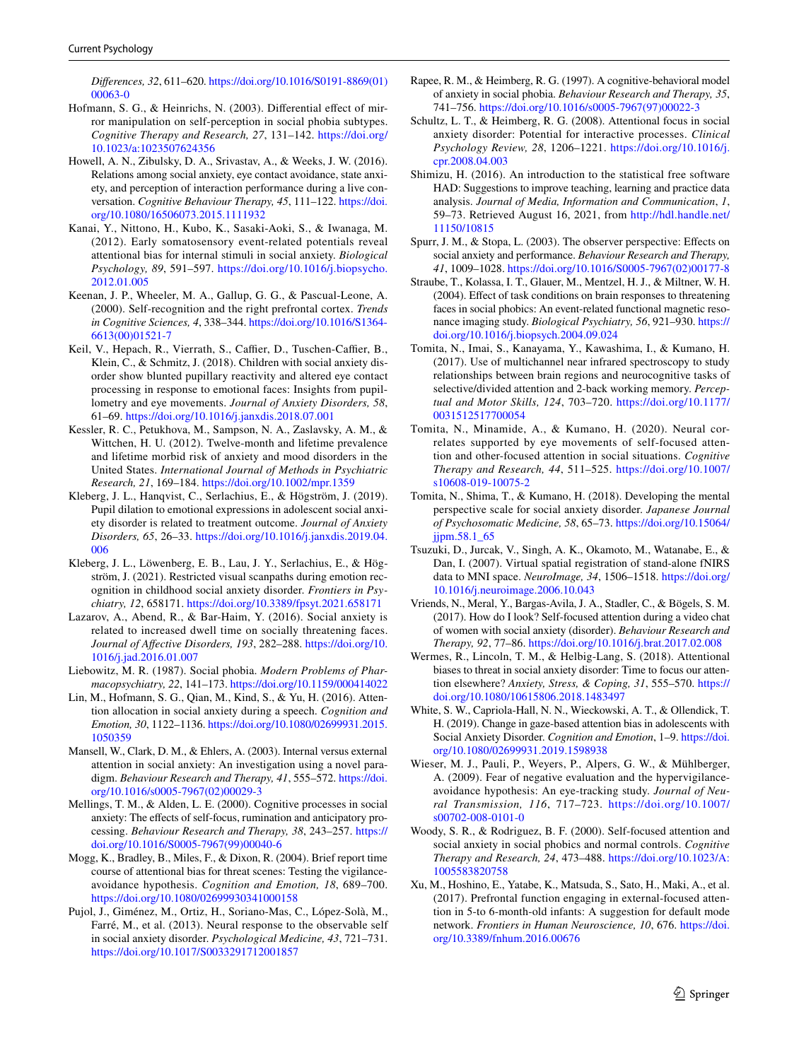*Diferences, 32*, 611–620. [https://doi.org/10.1016/S0191-8869\(01\)](https://doi.org/10.1016/S0191-8869(01)00063-0) [00063-0](https://doi.org/10.1016/S0191-8869(01)00063-0)

- <span id="page-12-17"></span>Hofmann, S. G., & Heinrichs, N. (2003). Differential effect of mirror manipulation on self-perception in social phobia subtypes. *Cognitive Therapy and Research, 27*, 131–142. [https://doi.org/](https://doi.org/10.1023/a:1023507624356) [10.1023/a:1023507624356](https://doi.org/10.1023/a:1023507624356)
- <span id="page-12-6"></span>Howell, A. N., Zibulsky, D. A., Srivastav, A., & Weeks, J. W. (2016). Relations among social anxiety, eye contact avoidance, state anxiety, and perception of interaction performance during a live conversation. *Cognitive Behaviour Therapy, 45*, 111–122. [https://doi.](https://doi.org/10.1080/16506073.2015.1111932) [org/10.1080/16506073.2015.1111932](https://doi.org/10.1080/16506073.2015.1111932)
- <span id="page-12-12"></span>Kanai, Y., Nittono, H., Kubo, K., Sasaki-Aoki, S., & Iwanaga, M. (2012). Early somatosensory event-related potentials reveal attentional bias for internal stimuli in social anxiety. *Biological Psychology, 89*, 591–597. [https://doi.org/10.1016/j.biopsycho.](https://doi.org/10.1016/j.biopsycho.2012.01.005) [2012.01.005](https://doi.org/10.1016/j.biopsycho.2012.01.005)
- <span id="page-12-25"></span>Keenan, J. P., Wheeler, M. A., Gallup, G. G., & Pascual-Leone, A. (2000). Self-recognition and the right prefrontal cortex. *Trends in Cognitive Sciences, 4*, 338–344. [https://doi.org/10.1016/S1364-](https://doi.org/10.1016/S1364-6613(00)01521-7) [6613\(00\)01521-7](https://doi.org/10.1016/S1364-6613(00)01521-7)
- <span id="page-12-28"></span>Keil, V., Hepach, R., Vierrath, S., Caffier, D., Tuschen-Caffier, B., Klein, C., & Schmitz, J. (2018). Children with social anxiety disorder show blunted pupillary reactivity and altered eye contact processing in response to emotional faces: Insights from pupillometry and eye movements. *Journal of Anxiety Disorders, 58*, 61–69. <https://doi.org/10.1016/j.janxdis.2018.07.001>
- <span id="page-12-0"></span>Kessler, R. C., Petukhova, M., Sampson, N. A., Zaslavsky, A. M., & Wittchen, H. U. (2012). Twelve-month and lifetime prevalence and lifetime morbid risk of anxiety and mood disorders in the United States. *International Journal of Methods in Psychiatric Research, 21*, 169–184. <https://doi.org/10.1002/mpr.1359>
- <span id="page-12-29"></span>Kleberg, J. L., Hanqvist, C., Serlachius, E., & Högström, J. (2019). Pupil dilation to emotional expressions in adolescent social anxiety disorder is related to treatment outcome. *Journal of Anxiety Disorders, 65*, 26–33. [https://doi.org/10.1016/j.janxdis.2019.04.](https://doi.org/10.1016/j.janxdis.2019.04.006) [006](https://doi.org/10.1016/j.janxdis.2019.04.006)
- <span id="page-12-27"></span>Kleberg, J. L., Löwenberg, E. B., Lau, J. Y., Serlachius, E., & Högström, J. (2021). Restricted visual scanpaths during emotion recognition in childhood social anxiety disorder. *Frontiers in Psychiatry, 12*, 658171.<https://doi.org/10.3389/fpsyt.2021.658171>
- <span id="page-12-5"></span>Lazarov, A., Abend, R., & Bar-Haim, Y. (2016). Social anxiety is related to increased dwell time on socially threatening faces. *Journal of Afective Disorders, 193*, 282–288. [https://doi.org/10.](https://doi.org/10.1016/j.jad.2016.01.007) [1016/j.jad.2016.01.007](https://doi.org/10.1016/j.jad.2016.01.007)
- <span id="page-12-19"></span>Liebowitz, M. R. (1987). Social phobia. *Modern Problems of Pharmacopsychiatry, 22*, 141–173. <https://doi.org/10.1159/000414022>
- <span id="page-12-26"></span>Lin, M., Hofmann, S. G., Qian, M., Kind, S., & Yu, H. (2016). Attention allocation in social anxiety during a speech. *Cognition and Emotion, 30*, 1122–1136. [https://doi.org/10.1080/02699931.2015.](https://doi.org/10.1080/02699931.2015.1050359) [1050359](https://doi.org/10.1080/02699931.2015.1050359)
- <span id="page-12-11"></span>Mansell, W., Clark, D. M., & Ehlers, A. (2003). Internal versus external attention in social anxiety: An investigation using a novel paradigm. *Behaviour Research and Therapy, 41*, 555–572. [https://doi.](https://doi.org/10.1016/s0005-7967(02)00029-3) [org/10.1016/s0005-7967\(02\)00029-3](https://doi.org/10.1016/s0005-7967(02)00029-3)
- <span id="page-12-2"></span>Mellings, T. M., & Alden, L. E. (2000). Cognitive processes in social anxiety: The efects of self-focus, rumination and anticipatory processing. *Behaviour Research and Therapy, 38*, 243–257. [https://](https://doi.org/10.1016/S0005-7967(99)00040-6) [doi.org/10.1016/S0005-7967\(99\)00040-6](https://doi.org/10.1016/S0005-7967(99)00040-6)
- <span id="page-12-8"></span>Mogg, K., Bradley, B., Miles, F., & Dixon, R. (2004). Brief report time course of attentional bias for threat scenes: Testing the vigilanceavoidance hypothesis. *Cognition and Emotion, 18*, 689–700. <https://doi.org/10.1080/02699930341000158>
- <span id="page-12-13"></span>Pujol, J., Giménez, M., Ortiz, H., Soriano-Mas, C., López-Solà, M., Farré, M., et al. (2013). Neural response to the observable self in social anxiety disorder. *Psychological Medicine, 43*, 721–731. <https://doi.org/10.1017/S0033291712001857>
- <span id="page-12-1"></span>Rapee, R. M., & Heimberg, R. G. (1997). A cognitive-behavioral model of anxiety in social phobia. *Behaviour Research and Therapy, 35*, 741–756. [https://doi.org/10.1016/s0005-7967\(97\)00022-3](https://doi.org/10.1016/s0005-7967(97)00022-3)
- <span id="page-12-10"></span>Schultz, L. T., & Heimberg, R. G. (2008). Attentional focus in social anxiety disorder: Potential for interactive processes. *Clinical Psychology Review, 28*, 1206–1221. [https://doi.org/10.1016/j.](https://doi.org/10.1016/j.cpr.2008.04.003) [cpr.2008.04.003](https://doi.org/10.1016/j.cpr.2008.04.003)
- <span id="page-12-24"></span>Shimizu, H. (2016). An introduction to the statistical free software HAD: Suggestions to improve teaching, learning and practice data analysis. *Journal of Media, Information and Communication*, *1*, 59–73. Retrieved August 16, 2021, from [http://hdl.handle.net/](http://hdl.handle.net/11150/10815) [11150/10815](http://hdl.handle.net/11150/10815)
- <span id="page-12-3"></span>Spurr, J. M., & Stopa, L. (2003). The observer perspective: Effects on social anxiety and performance. *Behaviour Research and Therapy, 41*, 1009–1028. [https://doi.org/10.1016/S0005-7967\(02\)00177-8](https://doi.org/10.1016/S0005-7967(02)00177-8)
- <span id="page-12-18"></span>Straube, T., Kolassa, I. T., Glauer, M., Mentzel, H. J., & Miltner, W. H. (2004). Efect of task conditions on brain responses to threatening faces in social phobics: An event-related functional magnetic resonance imaging study. *Biological Psychiatry, 56*, 921–930. [https://](https://doi.org/10.1016/j.biopsych.2004.09.024) [doi.org/10.1016/j.biopsych.2004.09.024](https://doi.org/10.1016/j.biopsych.2004.09.024)
- <span id="page-12-21"></span>Tomita, N., Imai, S., Kanayama, Y., Kawashima, I., & Kumano, H. (2017). Use of multichannel near infrared spectroscopy to study relationships between brain regions and neurocognitive tasks of selective/divided attention and 2-back working memory. *Perceptual and Motor Skills, 124*, 703–720. [https://doi.org/10.1177/](https://doi.org/10.1177/0031512517700054) [0031512517700054](https://doi.org/10.1177/0031512517700054)
- <span id="page-12-14"></span>Tomita, N., Minamide, A., & Kumano, H. (2020). Neural correlates supported by eye movements of self-focused attention and other-focused attention in social situations. *Cognitive Therapy and Research, 44*, 511–525. [https://doi.org/10.1007/](https://doi.org/10.1007/s10608-019-10075-2) [s10608-019-10075-2](https://doi.org/10.1007/s10608-019-10075-2)
- <span id="page-12-20"></span>Tomita, N., Shima, T., & Kumano, H. (2018). Developing the mental perspective scale for social anxiety disorder. *Japanese Journal of Psychosomatic Medicine, 58*, 65–73. [https://doi.org/10.15064/](https://doi.org/10.15064/jjpm.58.1_65) [jjpm.58.1\\_65](https://doi.org/10.15064/jjpm.58.1_65)
- <span id="page-12-22"></span>Tsuzuki, D., Jurcak, V., Singh, A. K., Okamoto, M., Watanabe, E., & Dan, I. (2007). Virtual spatial registration of stand-alone fNIRS data to MNI space. *NeuroImage, 34*, 1506–1518. [https://doi.org/](https://doi.org/10.1016/j.neuroimage.2006.10.043) [10.1016/j.neuroimage.2006.10.043](https://doi.org/10.1016/j.neuroimage.2006.10.043)
- <span id="page-12-16"></span>Vriends, N., Meral, Y., Bargas-Avila, J. A., Stadler, C., & Bögels, S. M. (2017). How do I look? Self-focused attention during a video chat of women with social anxiety (disorder). *Behaviour Research and Therapy, 92*, 77–86.<https://doi.org/10.1016/j.brat.2017.02.008>
- <span id="page-12-7"></span>Wermes, R., Lincoln, T. M., & Helbig-Lang, S. (2018). Attentional biases to threat in social anxiety disorder: Time to focus our attention elsewhere? *Anxiety, Stress, & Coping, 31*, 555–570. [https://](https://doi.org/10.1080/10615806.2018.1483497) [doi.org/10.1080/10615806.2018.1483497](https://doi.org/10.1080/10615806.2018.1483497)
- <span id="page-12-23"></span>White, S. W., Capriola-Hall, N. N., Wieckowski, A. T., & Ollendick, T. H. (2019). Change in gaze-based attention bias in adolescents with Social Anxiety Disorder. *Cognition and Emotion*, 1–9. [https://doi.](https://doi.org/10.1080/02699931.2019.1598938) [org/10.1080/02699931.2019.1598938](https://doi.org/10.1080/02699931.2019.1598938)
- <span id="page-12-9"></span>Wieser, M. J., Pauli, P., Weyers, P., Alpers, G. W., & Mühlberger, A. (2009). Fear of negative evaluation and the hypervigilanceavoidance hypothesis: An eye-tracking study. *Journal of Neural Transmission, 116*, 717–723. [https://doi.org/10.1007/](https://doi.org/10.1007/s00702-008-0101-0) [s00702-008-0101-0](https://doi.org/10.1007/s00702-008-0101-0)
- <span id="page-12-4"></span>Woody, S. R., & Rodriguez, B. F. (2000). Self-focused attention and social anxiety in social phobics and normal controls. *Cognitive Therapy and Research, 24*, 473–488. [https://doi.org/10.1023/A:](https://doi.org/10.1023/A:1005583820758) [1005583820758](https://doi.org/10.1023/A:1005583820758)
- <span id="page-12-15"></span>Xu, M., Hoshino, E., Yatabe, K., Matsuda, S., Sato, H., Maki, A., et al. (2017). Prefrontal function engaging in external-focused attention in 5-to 6-month-old infants: A suggestion for default mode network. *Frontiers in Human Neuroscience, 10*, 676. [https://doi.](https://doi.org/10.3389/fnhum.2016.00676) [org/10.3389/fnhum.2016.00676](https://doi.org/10.3389/fnhum.2016.00676)